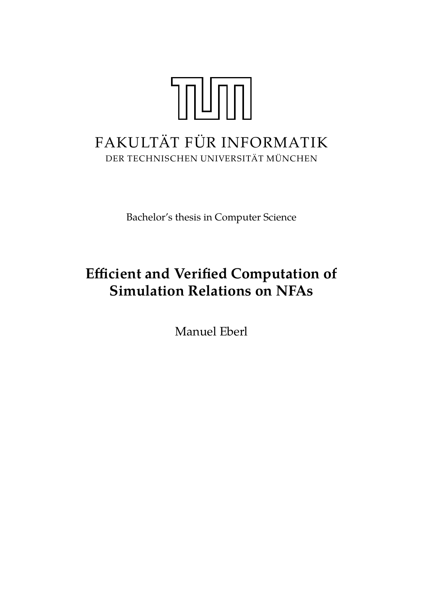# TOUTH FAKULTÄT FÜR INFORMATIK DER TECHNISCHEN UNIVERSITÄT MÜNCHEN

Bachelor's thesis in Computer Science

# **Efficient and Verified Computation of Simulation Relations on NFAs**

Manuel Eberl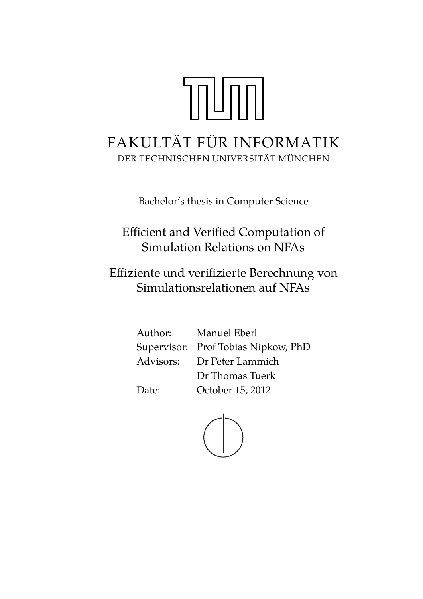# TNUMMI FAKULTÄT FÜR INFORMATIK DER TECHNISCHEN UNIVERSITÄT MÜNCHEN

Bachelor's thesis in Computer Science

Efficient and Verified Computation of Simulation Relations on NFAs

Effiziente und verifizierte Berechnung von Simulationsrelationen auf NFAs

> Author: Manuel Eberl Supervisor: Prof Tobias Nipkow, PhD Advisors: Dr Peter Lammich Dr Thomas Tuerk Date: October 15, 2012

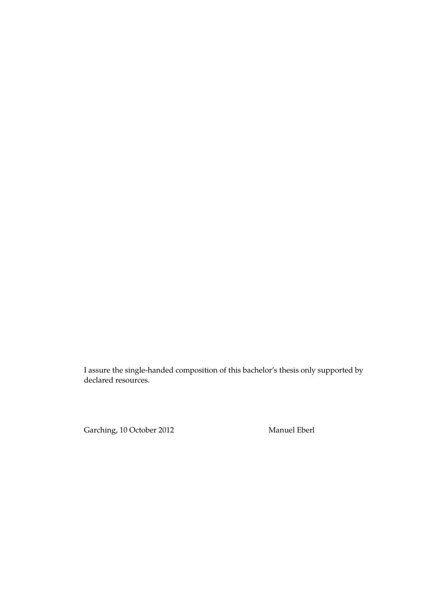I assure the single-handed composition of this bachelor's thesis only supported by declared resources.

Garching, 10 October 2012 Manuel Eberl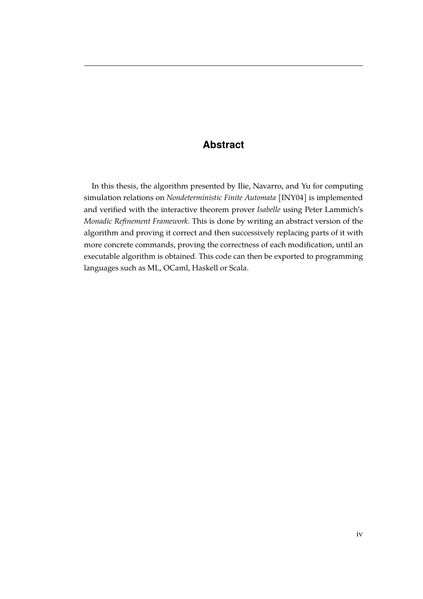# **Abstract**

In this thesis, the algorithm presented by Ilie, Navarro, and Yu for computing simulation relations on *Nondeterministic Finite Automata* [\[INY04\]](#page-39-0) is implemented and verified with the interactive theorem prover *Isabelle* using Peter Lammich's *Monadic Refinement Framework*. This is done by writing an abstract version of the algorithm and proving it correct and then successively replacing parts of it with more concrete commands, proving the correctness of each modification, until an executable algorithm is obtained. This code can then be exported to programming languages such as ML, OCaml, Haskell or Scala.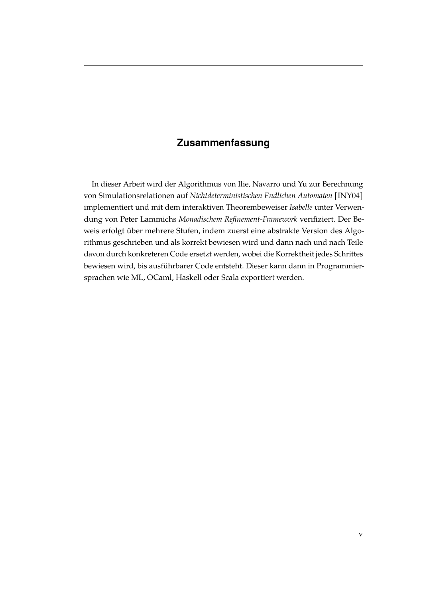# **Zusammenfassung**

In dieser Arbeit wird der Algorithmus von Ilie, Navarro und Yu zur Berechnung von Simulationsrelationen auf *Nichtdeterministischen Endlichen Automaten* [\[INY04\]](#page-39-0) implementiert und mit dem interaktiven Theorembeweiser *Isabelle* unter Verwendung von Peter Lammichs *Monadischem Refinement-Framework* verifiziert. Der Beweis erfolgt über mehrere Stufen, indem zuerst eine abstrakte Version des Algorithmus geschrieben und als korrekt bewiesen wird und dann nach und nach Teile davon durch konkreteren Code ersetzt werden, wobei die Korrektheit jedes Schrittes bewiesen wird, bis ausführbarer Code entsteht. Dieser kann dann in Programmiersprachen wie ML, OCaml, Haskell oder Scala exportiert werden.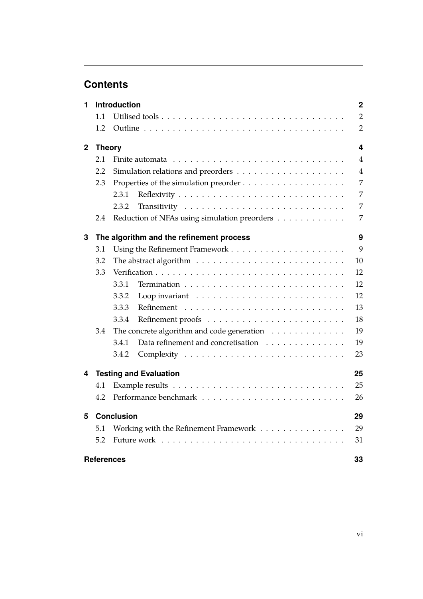# **Contents**

| 1            | <b>Introduction</b> |                                                                          |                |  |  |  |  |
|--------------|---------------------|--------------------------------------------------------------------------|----------------|--|--|--|--|
|              | 1.1                 |                                                                          |                |  |  |  |  |
|              | 1.2                 |                                                                          |                |  |  |  |  |
| $\mathbf{2}$ | <b>Theory</b>       |                                                                          |                |  |  |  |  |
|              | 2.1                 | Finite automata                                                          | $\overline{4}$ |  |  |  |  |
|              | 2.2                 |                                                                          | $\overline{4}$ |  |  |  |  |
|              | 2.3                 |                                                                          | 7              |  |  |  |  |
|              |                     | 2.3.1                                                                    | 7              |  |  |  |  |
|              |                     | 2.3.2                                                                    | 7              |  |  |  |  |
|              | 2.4                 | Reduction of NFAs using simulation preorders                             | 7              |  |  |  |  |
| 3            |                     | The algorithm and the refinement process                                 | 9              |  |  |  |  |
|              | 3.1                 |                                                                          | 9              |  |  |  |  |
|              | 3.2                 |                                                                          | 10             |  |  |  |  |
|              | 3.3                 | 12                                                                       |                |  |  |  |  |
|              |                     | 3.3.1                                                                    | 12             |  |  |  |  |
|              |                     | 3.3.2                                                                    | 12             |  |  |  |  |
|              |                     | 3.3.3                                                                    | 13             |  |  |  |  |
|              |                     | 3.3.4                                                                    | 18             |  |  |  |  |
|              | 3.4                 | The concrete algorithm and code generation $\ldots \ldots \ldots \ldots$ |                |  |  |  |  |
|              |                     | Data refinement and concretisation<br>3.4.1                              | 19             |  |  |  |  |
|              |                     | 3.4.2                                                                    | 23             |  |  |  |  |
| 4            |                     | <b>Testing and Evaluation</b>                                            | 25             |  |  |  |  |
|              | 4.1                 |                                                                          | 25             |  |  |  |  |
|              | 4.2                 |                                                                          | 26             |  |  |  |  |
| 5            |                     | <b>Conclusion</b>                                                        | 29             |  |  |  |  |
|              | 5.1                 | Working with the Refinement Framework                                    | 29             |  |  |  |  |
|              | 5.2                 | 31                                                                       |                |  |  |  |  |
|              | <b>References</b>   |                                                                          | 33             |  |  |  |  |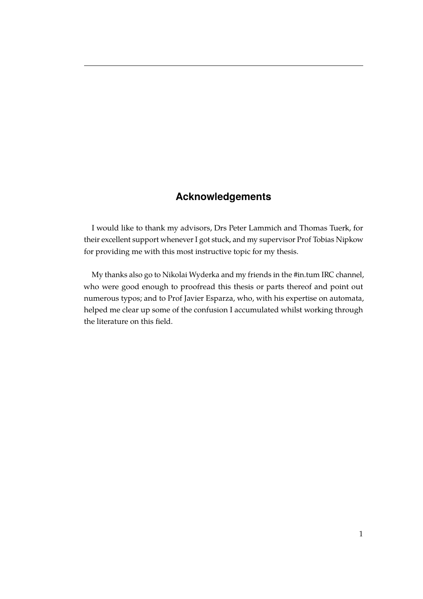# **Acknowledgements**

I would like to thank my advisors, Drs Peter Lammich and Thomas Tuerk, for their excellent support whenever I got stuck, and my supervisor Prof Tobias Nipkow for providing me with this most instructive topic for my thesis.

My thanks also go to Nikolai Wyderka and my friends in the #in.tum IRC channel, who were good enough to proofread this thesis or parts thereof and point out numerous typos; and to Prof Javier Esparza, who, with his expertise on automata, helped me clear up some of the confusion I accumulated whilst working through the literature on this field.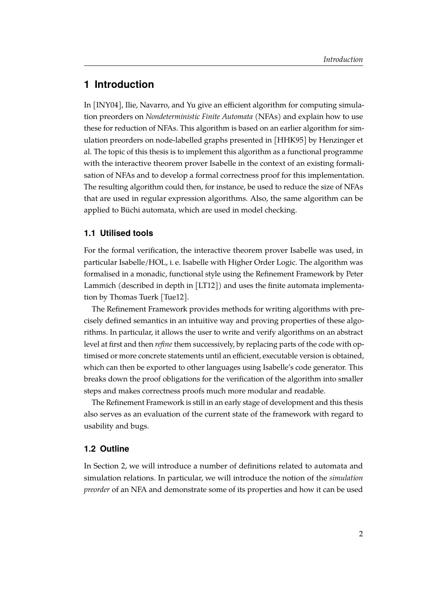# <span id="page-8-0"></span>**1 Introduction**

In [\[INY04\]](#page-39-0), Ilie, Navarro, and Yu give an efficient algorithm for computing simulation preorders on *Nondeterministic Finite Automata* (NFAs) and explain how to use these for reduction of NFAs. This algorithm is based on an earlier algorithm for simulation preorders on node-labelled graphs presented in [\[HHK95\]](#page-39-2) by Henzinger et al. The topic of this thesis is to implement this algorithm as a functional programme with the interactive theorem prover Isabelle in the context of an existing formalisation of NFAs and to develop a formal correctness proof for this implementation. The resulting algorithm could then, for instance, be used to reduce the size of NFAs that are used in regular expression algorithms. Also, the same algorithm can be applied to Büchi automata, which are used in model checking.

#### <span id="page-8-1"></span>**1.1 Utilised tools**

For the formal verification, the interactive theorem prover Isabelle was used, in particular Isabelle/HOL, i. e. Isabelle with Higher Order Logic. The algorithm was formalised in a monadic, functional style using the Refinement Framework by Peter Lammich (described in depth in [\[LT12\]](#page-39-3)) and uses the finite automata implementation by Thomas Tuerk [\[Tue12\]](#page-39-4).

The Refinement Framework provides methods for writing algorithms with precisely defined semantics in an intuitive way and proving properties of these algorithms. In particular, it allows the user to write and verify algorithms on an abstract level at first and then *refine* them successively, by replacing parts of the code with optimised or more concrete statements until an efficient, executable version is obtained, which can then be exported to other languages using Isabelle's code generator. This breaks down the proof obligations for the verification of the algorithm into smaller steps and makes correctness proofs much more modular and readable.

The Refinement Framework is still in an early stage of development and this thesis also serves as an evaluation of the current state of the framework with regard to usability and bugs.

#### <span id="page-8-2"></span>**1.2 Outline**

In Section [2,](#page-10-0) we will introduce a number of definitions related to automata and simulation relations. In particular, we will introduce the notion of the *simulation preorder* of an NFA and demonstrate some of its properties and how it can be used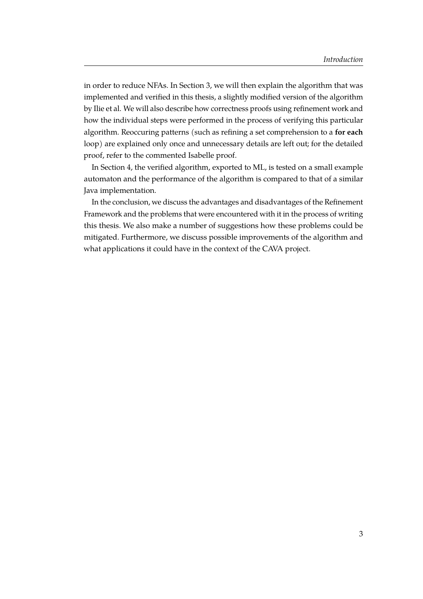in order to reduce NFAs. In Section [3,](#page-15-0) we will then explain the algorithm that was implemented and verified in this thesis, a slightly modified version of the algorithm by Ilie et al. We will also describe how correctness proofs using refinement work and how the individual steps were performed in the process of verifying this particular algorithm. Reoccuring patterns (such as refining a set comprehension to a **for each** loop) are explained only once and unnecessary details are left out; for the detailed proof, refer to the commented Isabelle proof.

In Section [4,](#page-31-0) the verified algorithm, exported to ML, is tested on a small example automaton and the performance of the algorithm is compared to that of a similar Java implementation.

In the conclusion, we discuss the advantages and disadvantages of the Refinement Framework and the problems that were encountered with it in the process of writing this thesis. We also make a number of suggestions how these problems could be mitigated. Furthermore, we discuss possible improvements of the algorithm and what applications it could have in the context of the CAVA project.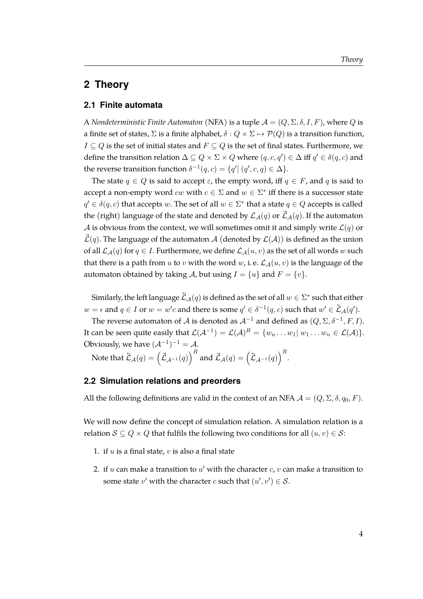## <span id="page-10-0"></span>**2 Theory**

#### <span id="page-10-1"></span>**2.1 Finite automata**

A *Nondeterministic Finite Automaton* (NFA) is a tuple  $\mathcal{A} = (Q, \Sigma, \delta, I, F)$ , where Q is a finite set of states,  $\Sigma$  is a finite alphabet,  $\delta: Q \times \Sigma \mapsto \mathcal{P}(Q)$  is a transition function,  $I \subseteq Q$  is the set of initial states and  $F \subseteq Q$  is the set of final states. Furthermore, we define the transition relation  $\Delta \subseteq Q \times \Sigma \times Q$  where  $(q, c, q') \in \Delta$  iff  $q' \in \delta(q, c)$  and the reverse transition function  $\delta^{-1}(q,c) = \{q' | (q',c,q) \in \Delta\}.$ 

The state  $q \in Q$  is said to accept  $\varepsilon$ , the empty word, iff  $q \in F$ , and q is said to accept a non-empty word  $cw$  with  $c \in \Sigma$  and  $w \in \Sigma^*$  iff there is a successor state  $q' \in \delta(q, c)$  that accepts w. The set of all  $w \in \Sigma^*$  that a state  $q \in Q$  accepts is called the (right) language of the state and denoted by  $\mathcal{L}_{\mathcal{A}}(q)$  or  $\vec{\mathcal{L}}_{\mathcal{A}}(q)$ . If the automaton A is obvious from the context, we will sometimes omit it and simply write  $\mathcal{L}(q)$  or  $\tilde{\mathcal{L}}(q)$ . The language of the automaton A (denoted by  $\mathcal{L}(\mathcal{A})$ ) is defined as the union of all  $\mathcal{L}_{\mathcal{A}}(q)$  for  $q \in I$ . Furthermore, we define  $\mathcal{L}_{\mathcal{A}}(u, v)$  as the set of all words w such that there is a path from u to v with the word w, i.e.  $\mathcal{L}_{\mathcal{A}}(u, v)$  is the language of the automaton obtained by taking A, but using  $I = \{u\}$  and  $F = \{v\}$ .

Similarly, the left language  $\tilde{\mathcal{L}}_\mathcal{A}(q)$  is defined as the set of all  $w\in \Sigma^*$  such that either  $w=\epsilon$  and  $q\in I$  or  $w=w'c$  and there is some  $q'\in \delta^{-1}(q,c)$  such that  $w'\in \tilde{\mathcal{L}}_{\mathcal{A}}(q').$ 

The reverse automaton of  ${\cal A}$  is denoted as  ${\cal A}^{-1}$  and defined as  $(Q, \Sigma, \delta^{-1}, F, I).$ It can be seen quite easily that  $\mathcal{L}(\mathcal{A}^{-1})=\mathcal{L}(\mathcal{A})^R=\{w_n\dots w_1|\ w_1\dots w_n\in\mathcal{L}(\mathcal{A})\}.$ Obviously, we have  $(A^{-1})^{-1} = A$ .

Note that  $\bar{\mathcal{L}}_{\mathcal{A}}(q)=\left(\vec{\mathcal{L}}_{\mathcal{A}^{-1}}(q)\right)^R$  and  $\vec{\mathcal{L}}_{\mathcal{A}}(q)=\left(\bar{\mathcal{L}}_{\mathcal{A}^{-1}}(q)\right)^R$ .

#### <span id="page-10-2"></span>**2.2 Simulation relations and preorders**

All the following definitions are valid in the context of an NFA  $\mathcal{A} = (Q, \Sigma, \delta, q_0, F)$ .

We will now define the concept of simulation relation. A simulation relation is a relation  $S \subseteq Q \times Q$  that fulfils the following two conditions for all  $(u, v) \in S$ :

- 1. if  $u$  is a final state,  $v$  is also a final state
- 2. if  $u$  can make a transition to  $u'$  with the character  $c$ ,  $v$  can make a transition to some state  $v'$  with the character c such that  $(u', v') \in \mathcal{S}$ .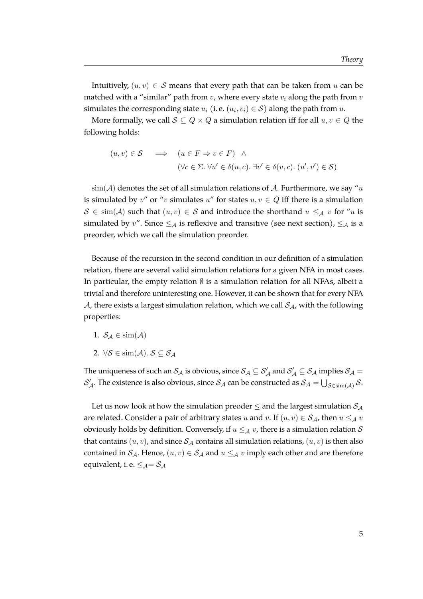Intuitively,  $(u, v) \in S$  means that every path that can be taken from u can be matched with a "similar" path from  $v$ , where every state  $v_i$  along the path from  $v$ simulates the corresponding state  $u_i$  (i. e.  $(u_i, v_i) \in \mathcal{S}$ ) along the path from  $u$ .

More formally, we call  $S \subseteq Q \times Q$  a simulation relation iff for all  $u, v \in Q$  the following holds:

$$
(u, v) \in S \quad \implies \quad (u \in F \Rightarrow v \in F) \quad \land
$$

$$
(\forall c \in \Sigma. \ \forall u' \in \delta(u, c). \ \exists v' \in \delta(v, c). \ (u', v') \in S)
$$

 $\sin(A)$  denotes the set of all simulation relations of A. Furthermore, we say "u is simulated by v" or "v simulates u" for states  $u, v \in Q$  iff there is a simulation  $S \in \text{sim}(\mathcal{A})$  such that  $(u, v) \in \mathcal{S}$  and introduce the shorthand  $u \leq_{\mathcal{A}} v$  for "u is simulated by v". Since  $\leq_{\mathcal{A}}$  is reflexive and transitive (see next section),  $\leq_{\mathcal{A}}$  is a preorder, which we call the simulation preorder.

Because of the recursion in the second condition in our definition of a simulation relation, there are several valid simulation relations for a given NFA in most cases. In particular, the empty relation  $\emptyset$  is a simulation relation for all NFAs, albeit a trivial and therefore uninteresting one. However, it can be shown that for every NFA A, there exists a largest simulation relation, which we call  $S_A$ , with the following properties:

- 1.  $S_A \in \text{sim}(\mathcal{A})$
- 2.  $\forall \mathcal{S} \in \text{sim}(\mathcal{A})$ .  $\mathcal{S} \subseteq \mathcal{S}_{\mathcal{A}}$

The uniqueness of such an  $\mathcal{S}_{\mathcal{A}}$  is obvious, since  $\mathcal{S}_{\mathcal{A}}\subseteq\mathcal{S}'_{\mathcal{A}}$  and  $\mathcal{S}'_{\mathcal{A}}\subseteq\mathcal{S}_{\mathcal{A}}$  implies  $\mathcal{S}_{\mathcal{A}}=$  $\mathcal{S}_{\cal A}'$ . The existence is also obvious, since  $\mathcal{S}_{\cal A}$  can be constructed as  $\mathcal{S}_{\cal A}=\bigcup_{\mathcal{S}\in\text{sim}(\mathcal{A})}\mathcal{S}.$ 

Let us now look at how the simulation preoder  $\leq$  and the largest simulation  $S_A$ are related. Consider a pair of arbitrary states u and v. If  $(u, v) \in S_A$ , then  $u \leq_A v$ obviously holds by definition. Conversely, if  $u \leq_{\mathcal{A}} v$ , there is a simulation relation S that contains  $(u, v)$ , and since  $S_A$  contains all simulation relations,  $(u, v)$  is then also contained in  $S_A$ . Hence,  $(u, v) \in S_A$  and  $u \leq_A v$  imply each other and are therefore equivalent, i.e.  $\leq_{\mathcal{A}} = \mathcal{S}_{\mathcal{A}}$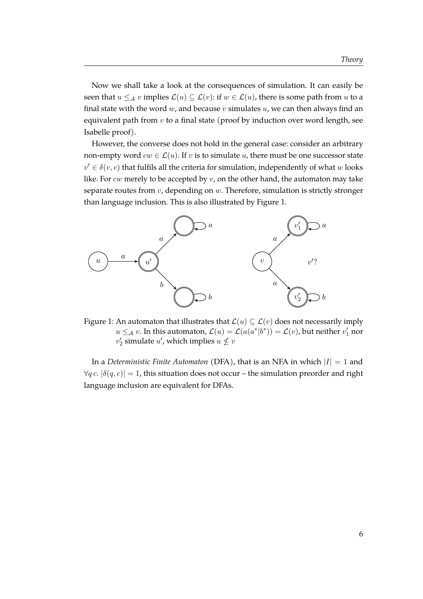Now we shall take a look at the consequences of simulation. It can easily be seen that  $u \leq_{\mathcal{A}} v$  implies  $\mathcal{L}(u) \subseteq \mathcal{L}(v)$ : if  $w \in \mathcal{L}(u)$ , there is some path from u to a final state with the word  $w$ , and because  $v$  simulates  $u$ , we can then always find an equivalent path from  $v$  to a final state (proof by induction over word length, see Isabelle proof).

However, the converse does not hold in the general case: consider an arbitrary non-empty word  $cw \in \mathcal{L}(u)$ . If v is to simulate u, there must be one successor state  $v' \in \delta(v, c)$  that fulfils all the criteria for simulation, independently of what w looks like. For  $cw$  merely to be accepted by  $v$ , on the other hand, the automaton may take separate routes from  $v$ , depending on  $w$ . Therefore, simulation is strictly stronger than language inclusion. This is also illustrated by Figure [1.](#page-12-0)

<span id="page-12-0"></span>

Figure 1: An automaton that illustrates that  $\mathcal{L}(u) \subseteq \mathcal{L}(v)$  does not necessarily imply  $u \leq_{\mathcal{A}} v$ . In this automaton,  $\mathcal{L}(u) = \mathcal{L}(a(a^*|b^*)) = \mathcal{L}(v)$ , but neither  $v'_1$  nor  $v_2'$  simulate  $u'$ , which implies  $u \nleq v$ 

In a *Deterministic Finite Automaton* (DFA), that is an NFA in which  $|I| = 1$  and  $\forall q \, c. |\delta(q, c)| = 1$ , this situation does not occur – the simulation preorder and right language inclusion are equivalent for DFAs.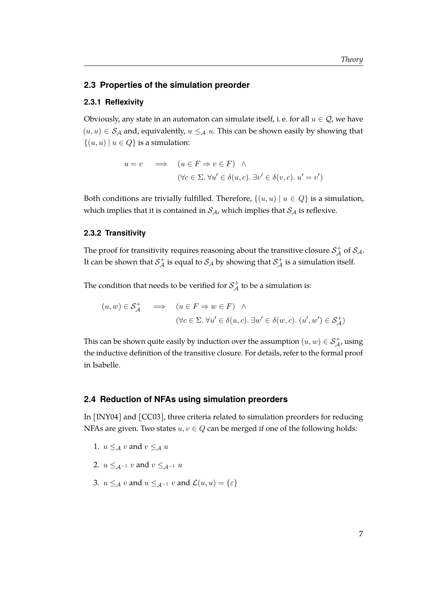#### <span id="page-13-0"></span>**2.3 Properties of the simulation preorder**

#### <span id="page-13-1"></span>**2.3.1 Reflexivity**

Obviously, any state in an automaton can simulate itself, i.e. for all  $u \in \mathcal{Q}$ , we have  $(u, u) \in S_A$  and, equivalently,  $u \leq_A u$ . This can be shown easily by showing that  $\{(u, u) \mid u \in Q\}$  is a simulation:

$$
u = v \implies (u \in F \Rightarrow v \in F) \land (\forall c \in \Sigma. \forall u' \in \delta(u, c). \exists v' \in \delta(v, c). u' = v')
$$

Both conditions are trivially fulfilled. Therefore,  $\{(u, u) | u \in Q\}$  is a simulation, which implies that it is contained in  $S_A$ , which implies that  $S_A$  is reflexive.

#### <span id="page-13-2"></span>**2.3.2 Transitivity**

The proof for transitivity requires reasoning about the transitive closure  $\mathcal{S}^+_\mathcal{A}$  of  $\mathcal{S}_\mathcal{A}.$ It can be shown that  $\mathcal{S}^+_\mathcal{A}$  is equal to  $\mathcal{S}_\mathcal{A}$  by showing that  $\mathcal{S}^+_\mathcal{A}$  is a simulation itself.

The condition that needs to be verified for  $\mathcal{S}^+_\mathcal{A}$  to be a simulation is:

$$
(u, w) \in \mathcal{S}_{\mathcal{A}}^{+} \quad \Longrightarrow \quad (u \in F \Rightarrow w \in F) \quad \land
$$

$$
(\forall c \in \Sigma. \ \forall u' \in \delta(u, c). \ \exists w' \in \delta(w, c). \ (u', w') \in \mathcal{S}_{\mathcal{A}}^{+})
$$

This can be shown quite easily by induction over the assumption  $(u, w) \in \mathcal{S}^+_\mathcal{A}$ , using the inductive definition of the transitive closure. For details, refer to the formal proof in Isabelle.

#### <span id="page-13-3"></span>**2.4 Reduction of NFAs using simulation preorders**

In [\[INY04\]](#page-39-0) and [\[CC03\]](#page-39-5), three criteria related to simulation preorders for reducing NFAs are given. Two states  $u, v \in Q$  can be merged if one of the following holds:

1. 
$$
u \leq_A v
$$
 and  $v \leq_A u$ 

- 2.  $u \leq A^{-1} v$  and  $v \leq A^{-1} u$
- 3.  $u \leq_{\mathcal{A}} v$  and  $u \leq_{\mathcal{A}^{-1}} v$  and  $\mathcal{L}(u, u) = \{\varepsilon\}$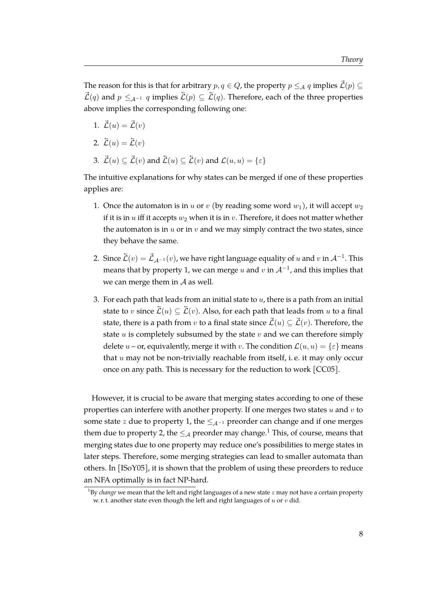The reason for this is that for arbitrary  $p, q \in Q$ , the property  $p \leq_{\mathcal{A}} q$  implies  $\vec{\mathcal{L}}(p) \subseteq$  $\vec{\mathcal{L}}(q)$  and  $p \leq_{A^{-1}} q$  implies  $\vec{\mathcal{L}}(p) \subseteq \vec{\mathcal{L}}(q)$ . Therefore, each of the three properties above implies the corresponding following one:

- 1.  $\vec{\mathcal{L}}(u) = \vec{\mathcal{L}}(v)$
- 2.  $\overline{\mathcal{L}}(u) = \overline{\mathcal{L}}(v)$
- 3.  $\vec{\mathcal{L}}(u) \subseteq \vec{\mathcal{L}}(v)$  and  $\vec{\mathcal{L}}(u) \subseteq \vec{\mathcal{L}}(v)$  and  $\mathcal{L}(u, u) = \{\varepsilon\}$

The intuitive explanations for why states can be merged if one of these properties applies are:

- 1. Once the automaton is in u or v (by reading some word  $w_1$ ), it will accept  $w_2$ if it is in  $u$  iff it accepts  $w_2$  when it is in  $v$ . Therefore, it does not matter whether the automaton is in  $u$  or in  $v$  and we may simply contract the two states, since they behave the same.
- 2. Since  $\tilde{\mathcal{L}}(v)=\vec{\mathcal{L}}_{\mathcal{A}^{-1}}(v)$ , we have right language equality of  $u$  and  $v$  in  $\mathcal{A}^{-1}.$  This means that by property 1, we can merge  $u$  and  $v$  in  $\mathcal{A}^{-1}$ , and this implies that we can merge them in  $A$  as well.
- 3. For each path that leads from an initial state to  $u$ , there is a path from an initial state to v since  $\overline{\mathcal{L}}(u) \subseteq \overline{\mathcal{L}}(v)$ . Also, for each path that leads from u to a final state, there is a path from v to a final state since  $\vec{\mathcal{L}}(u) \subseteq \vec{\mathcal{L}}(v)$ . Therefore, the state  $u$  is completely subsumed by the state  $v$  and we can therefore simply delete  $u$  – or, equivalently, merge it with v. The condition  $\mathcal{L}(u, u) = \{\varepsilon\}$  means that  $u$  may not be non-trivially reachable from itself, i.e. it may only occur once on any path. This is necessary for the reduction to work [\[CC05\]](#page-39-6).

However, it is crucial to be aware that merging states according to one of these properties can interfere with another property. If one merges two states  $u$  and  $v$  to some state z due to property 1, the  $\leq_{A^{-1}}$  preorder can change and if one merges them due to property 2, the  $\leq_{\mathcal{A}}$  preorder may change.<sup>[1](#page-14-0)</sup> This, of course, means that merging states due to one property may reduce one's possibilities to merge states in later steps. Therefore, some merging strategies can lead to smaller automata than others. In [\[ISoY05\]](#page-39-7), it is shown that the problem of using these preorders to reduce an NFA optimally is in fact NP-hard.

<span id="page-14-0"></span><sup>&</sup>lt;sup>1</sup>By *change* we mean that the left and right languages of a new state z may not have a certain property w. r. t. another state even though the left and right languages of  $u$  or  $v$  did.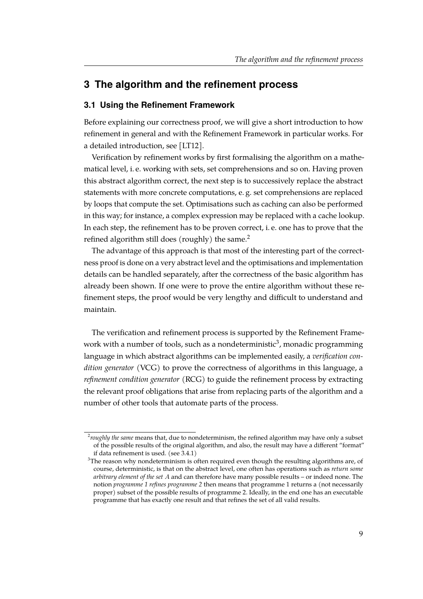# <span id="page-15-0"></span>**3 The algorithm and the refinement process**

#### <span id="page-15-1"></span>**3.1 Using the Refinement Framework**

Before explaining our correctness proof, we will give a short introduction to how refinement in general and with the Refinement Framework in particular works. For a detailed introduction, see [\[LT12\]](#page-39-3).

Verification by refinement works by first formalising the algorithm on a mathematical level, i. e. working with sets, set comprehensions and so on. Having proven this abstract algorithm correct, the next step is to successively replace the abstract statements with more concrete computations, e. g. set comprehensions are replaced by loops that compute the set. Optimisations such as caching can also be performed in this way; for instance, a complex expression may be replaced with a cache lookup. In each step, the refinement has to be proven correct, i. e. one has to prove that the refined algorithm still does (roughly) the same.<sup>[2](#page-15-2)</sup>

The advantage of this approach is that most of the interesting part of the correctness proof is done on a very abstract level and the optimisations and implementation details can be handled separately, after the correctness of the basic algorithm has already been shown. If one were to prove the entire algorithm without these refinement steps, the proof would be very lengthy and difficult to understand and maintain.

The verification and refinement process is supported by the Refinement Framework with a number of tools, such as a nondeterministic $^3$  $^3$ , monadic programming language in which abstract algorithms can be implemented easily, a *verification condition generator* (VCG) to prove the correctness of algorithms in this language, a *refinement condition generator* (RCG) to guide the refinement process by extracting the relevant proof obligations that arise from replacing parts of the algorithm and a number of other tools that automate parts of the process.

<span id="page-15-2"></span><sup>2</sup> *roughly the same* means that, due to nondeterminism, the refined algorithm may have only a subset of the possible results of the original algorithm, and also, the result may have a different "format" if data refinement is used. (see [3.4.1\)](#page-25-1)

<span id="page-15-3"></span> $3$ The reason why nondeterminism is often required even though the resulting algorithms are, of course, deterministic, is that on the abstract level, one often has operations such as *return some arbitrary element of the set* A and can therefore have many possible results – or indeed none. The notion *programme 1 refines programme 2* then means that programme 1 returns a (not necessarily proper) subset of the possible results of programme 2. Ideally, in the end one has an executable programme that has exactly one result and that refines the set of all valid results.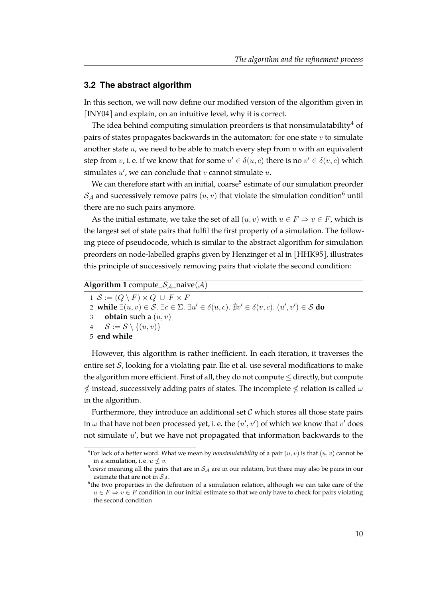#### <span id="page-16-0"></span>**3.2 The abstract algorithm**

In this section, we will now define our modified version of the algorithm given in [\[INY04\]](#page-39-0) and explain, on an intuitive level, why it is correct.

The idea behind computing simulation preorders is that nonsimulatability<sup>[4](#page-16-1)</sup> of pairs of states propagates backwards in the automaton: for one state  $v$  to simulate another state  $u$ , we need to be able to match every step from  $u$  with an equivalent step from  $v$ , i.e. if we know that for some  $u' \in \delta(u, c)$  there is no  $v' \in \delta(v, c)$  which simulates  $u'$ , we can conclude that  $v$  cannot simulate  $u$ .

We can therefore start with an initial, coarse $^5$  $^5$  estimate of our simulation preorder  $S_A$  and successively remove pairs  $(u, v)$  that violate the simulation condition<sup>[6](#page-16-3)</sup> until there are no such pairs anymore.

As the initial estimate, we take the set of all  $(u, v)$  with  $u \in F \Rightarrow v \in F$ , which is the largest set of state pairs that fulfil the first property of a simulation. The following piece of pseudocode, which is similar to the abstract algorithm for simulation preorders on node-labelled graphs given by Henzinger et al in [\[HHK95\]](#page-39-2), illustrates this principle of successively removing pairs that violate the second condition:

| <b>Algorithm 1</b> compute $S_{A}$ naive (A)                                                                                                   |  |  |  |  |  |
|------------------------------------------------------------------------------------------------------------------------------------------------|--|--|--|--|--|
| $1 \mathcal{S} := (Q \setminus F) \times Q \cup F \times F$                                                                                    |  |  |  |  |  |
| 2 while $\exists (u, v) \in S$ . $\exists c \in \Sigma$ . $\exists u' \in \delta(u, c)$ . $\nexists v' \in \delta(v, c)$ . $(u', v') \in S$ do |  |  |  |  |  |
| 3 <b>obtain</b> such a $(u, v)$                                                                                                                |  |  |  |  |  |
| 4 $\mathcal{S} := \mathcal{S} \setminus \{(u, v)\}\$                                                                                           |  |  |  |  |  |
| 5 end while                                                                                                                                    |  |  |  |  |  |

However, this algorithm is rather inefficient. In each iteration, it traverses the entire set  $S$ , looking for a violating pair. Ilie et al. use several modifications to make the algorithm more efficient. First of all, they do not compute  $\leq$  directly, but compute  $\not\leq$  instead, successively adding pairs of states. The incomplete  $\not\leq$  relation is called  $\omega$ in the algorithm.

Furthermore, they introduce an additional set  $\mathcal C$  which stores all those state pairs in  $\omega$  that have not been processed yet, i. e. the  $(u', v')$  of which we know that  $v'$  does not simulate  $u'$ , but we have not propagated that information backwards to the

<span id="page-16-1"></span><sup>&</sup>lt;sup>4</sup> For lack of a better word. What we mean by *nonsimulatability* of a pair  $(u, v)$  is that  $(u, v)$  cannot be in a simulation, i. e.  $u \nleq v$ .

<span id="page-16-2"></span> $^5$ c*oarse* meaning all the pairs that are in  $\mathcal{S}_{\mathcal{A}}$  are in our relation, but there may also be pairs in our estimate that are not in  $S_A$ .

<span id="page-16-3"></span> $<sup>6</sup>$ the two properties in the definition of a simulation relation, although we can take care of the</sup>  $u \in F \Rightarrow v \in F$  condition in our initial estimate so that we only have to check for pairs violating the second condition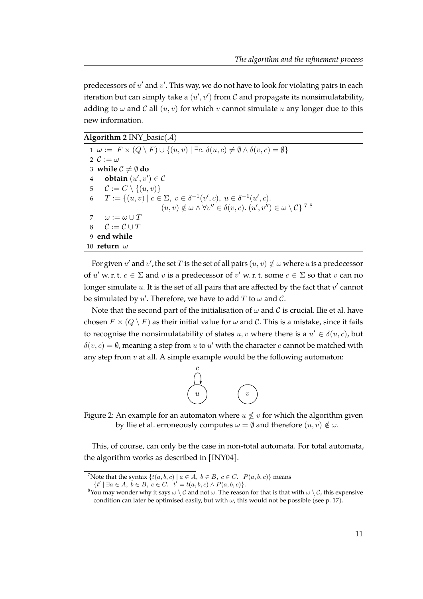predecessors of  $u'$  and  $v'$ . This way, we do not have to look for violating pairs in each iteration but can simply take a  $(u', v')$  from  $\mathcal C$  and propagate its nonsimulatability, adding to  $\omega$  and C all  $(u, v)$  for which v cannot simulate u any longer due to this new information.

**Algorithm 2** INY basic( $A$ )

 $1 \omega := F \times (Q \setminus F) \cup \{(u, v) \mid \exists c. \delta(u, c) \neq \emptyset \wedge \delta(v, c) = \emptyset\}$  $\mathcal{C} := \omega$ **while**  $C \neq \emptyset$  **do obtain**  $(u', v') \in \mathcal{C}$  $C := C \setminus \{(u, v)\}\$  $T := \{(u, v) \mid c \in \Sigma, v \in \delta^{-1}(v', c), u \in \delta^{-1}(u', c).$  $(u, v) \notin \omega \wedge \forall v'' \in \delta(v, c).$   $(u', v'') \in \omega \setminus C$ <sup>78</sup>  $\omega := \omega \cup T$  $C := \mathcal{C} \cup T$  **end while** 10 **return** ω

For given  $u'$  and  $v'$ , the set  $T$  is the set of all pairs  $(u, v) \notin \omega$  where  $u$  is a predecessor of u' w. r. t.  $c \in \Sigma$  and v is a predecessor of v' w. r. t. some  $c \in \Sigma$  so that v can no longer simulate  $u$ . It is the set of all pairs that are affected by the fact that  $v'$  cannot be simulated by  $u'$ . Therefore, we have to add  $T$  to  $\omega$  and  $\mathcal{C}$ .

Note that the second part of the initialisation of  $\omega$  and  $\mathcal C$  is crucial. Ilie et al. have chosen  $F \times (Q \setminus F)$  as their initial value for  $\omega$  and  $\mathcal{C}$ . This is a mistake, since it fails to recognise the nonsimulatability of states  $u, v$  where there is a  $u' \in \delta(u, c)$ , but  $\delta(v, c) = \emptyset$ , meaning a step from u to u' with the character c cannot be matched with any step from  $v$  at all. A simple example would be the following automaton:



Figure 2: An example for an automaton where  $u \nleq v$  for which the algorithm given by Ilie et al. erroneously computes  $\omega = \emptyset$  and therefore  $(u, v) \notin \omega$ .

This, of course, can only be the case in non-total automata. For total automata, the algorithm works as described in [\[INY04\]](#page-39-0).

<sup>&</sup>lt;sup>7</sup>Note that the syntax  $\{t(a, b, c) \mid a \in A, b \in B, c \in C$ .  $P(a, b, c)\}$  means

 $\{t' \mid \exists a \in A, b \in B, c \in C. \quad t' = t(a, b, c) \land P(a, b, c)\}.$ 

<sup>&</sup>lt;sup>8</sup>You may wonder why it says  $\omega \setminus C$  and not  $\omega$ . The reason for that is that with  $\omega \setminus C$ , this expensive condition can later be optimised easily, but with  $\omega$ , this would not be possible (see p. [17\)](#page-22-0).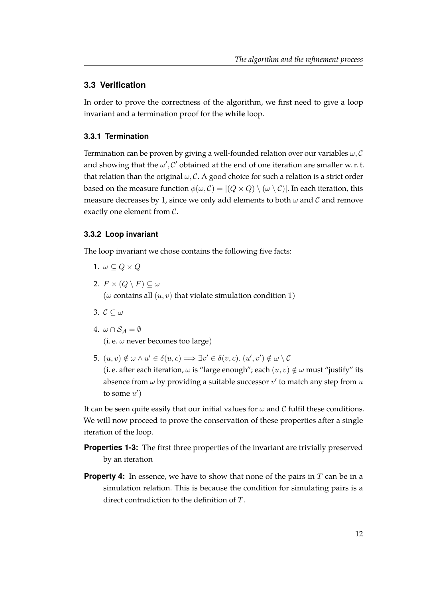#### <span id="page-18-0"></span>**3.3 Verification**

In order to prove the correctness of the algorithm, we first need to give a loop invariant and a termination proof for the **while** loop.

#### <span id="page-18-1"></span>**3.3.1 Termination**

Termination can be proven by giving a well-founded relation over our variables  $\omega, \mathcal{C}$ and showing that the  $\omega', C'$  obtained at the end of one iteration are smaller w. r. t. that relation than the original  $\omega$ , C. A good choice for such a relation is a strict order based on the measure function  $\phi(\omega, C) = |(Q \times Q) \setminus (\omega \setminus C)|$ . In each iteration, this measure decreases by 1, since we only add elements to both  $\omega$  and  $\mathcal C$  and remove exactly one element from C.

#### <span id="page-18-2"></span>**3.3.2 Loop invariant**

The loop invariant we chose contains the following five facts:

- 1.  $\omega \subseteq Q \times Q$
- 2.  $F \times (Q \setminus F) \subseteq \omega$ ( $\omega$  contains all  $(u, v)$  that violate simulation condition 1)
- 3.  $\mathcal{C} \subseteq \omega$
- 4.  $\omega \cap \mathcal{S}_A = \emptyset$

(i. e.  $\omega$  never becomes too large)

5.  $(u, v) \notin \omega \wedge u' \in \delta(u, c) \Longrightarrow \exists v' \in \delta(v, c)$ .  $(u', v') \notin \omega \setminus C$ (i. e. after each iteration,  $\omega$  is "large enough"; each  $(u, v) \notin \omega$  must "justify" its absence from  $\omega$  by providing a suitable successor  $v'$  to match any step from  $u$ to some  $u'$ )

It can be seen quite easily that our initial values for  $\omega$  and C fulfil these conditions. We will now proceed to prove the conservation of these properties after a single iteration of the loop.

- **Properties 1-3:** The first three properties of the invariant are trivially preserved by an iteration
- **Property 4:** In essence, we have to show that none of the pairs in T can be in a simulation relation. This is because the condition for simulating pairs is a direct contradiction to the definition of T.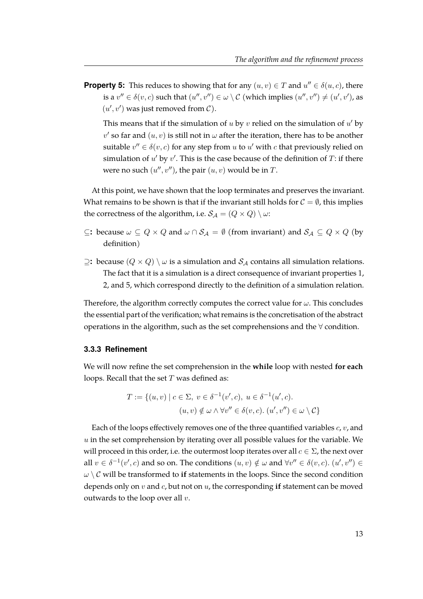**Property 5:** This reduces to showing that for any  $(u, v) \in T$  and  $u'' \in \delta(u, c)$ , there is a  $v'' \in \delta(v, c)$  such that  $(u'', v'') \in \omega \setminus C$  (which implies  $(u'', v'') \neq (u', v')$ , as  $(u', v')$  was just removed from  $\mathcal{C}$ ).

This means that if the simulation of  $u$  by  $v$  relied on the simulation of  $u'$  by  $v'$  so far and  $(u, v)$  is still not in  $\omega$  after the iteration, there has to be another suitable  $v'' \in \delta(v, c)$  for any step from u to u' with c that previously relied on simulation of  $u'$  by  $v'$ . This is the case because of the definition of  $T$ : if there were no such  $(u'', v'')$ , the pair  $(u, v)$  would be in T.

At this point, we have shown that the loop terminates and preserves the invariant. What remains to be shown is that if the invariant still holds for  $C = \emptyset$ , this implies the correctness of the algorithm, i.e.  $S_A = (Q \times Q) \setminus \omega$ :

- ⊆**:** because  $ω ⊆ Q × Q$  and  $ω ∩ S<sub>A</sub> = ∅$  (from invariant) and  $S<sub>A</sub> ⊆ Q × Q$  (by definition)
- $≥$ **:** because (*Q* × *Q*) \ ω is a simulation and *S<sub>A</sub>* contains all simulation relations. The fact that it is a simulation is a direct consequence of invariant properties 1, 2, and 5, which correspond directly to the definition of a simulation relation.

Therefore, the algorithm correctly computes the correct value for  $\omega$ . This concludes the essential part of the verification; what remains is the concretisation of the abstract operations in the algorithm, such as the set comprehensions and the ∀ condition.

#### <span id="page-19-0"></span>**3.3.3 Refinement**

We will now refine the set comprehension in the **while** loop with nested **for each** loops. Recall that the set  $T$  was defined as:

$$
T := \{(u, v) \mid c \in \Sigma, v \in \delta^{-1}(v', c), u \in \delta^{-1}(u', c).
$$
  

$$
(u, v) \notin \omega \land \forall v'' \in \delta(v, c). (u', v'') \in \omega \setminus C\}
$$

Each of the loops effectively removes one of the three quantified variables  $c$ ,  $v$ , and  $u$  in the set comprehension by iterating over all possible values for the variable. We will proceed in this order, i.e. the outermost loop iterates over all  $c \in \Sigma$ , the next over all  $v \in \delta^{-1}(v', c)$  and so on. The conditions  $(u, v) \notin \omega$  and  $\forall v'' \in \delta(v, c)$ .  $(u', v'') \in$  $\omega \setminus \mathcal{C}$  will be transformed to if statements in the loops. Since the second condition depends only on v and c, but not on u, the corresponding **if** statement can be moved outwards to the loop over all  $v$ .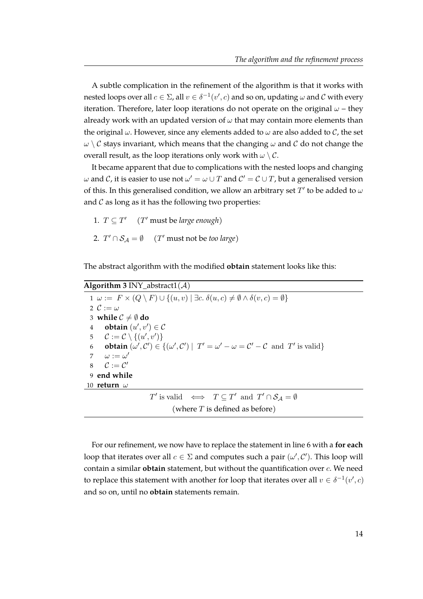A subtle complication in the refinement of the algorithm is that it works with nested loops over all  $c \in \Sigma$ , all  $v \in \delta^{-1}(v',c)$  and so on, updating  $\omega$  and  $\mathcal C$  with every iteration. Therefore, later loop iterations do not operate on the original  $\omega$  – they already work with an updated version of  $\omega$  that may contain more elements than the original  $\omega$ . However, since any elements added to  $\omega$  are also added to  $\mathcal{C}$ , the set  $\omega \setminus \mathcal{C}$  stays invariant, which means that the changing  $\omega$  and  $\mathcal{C}$  do not change the overall result, as the loop iterations only work with  $\omega \setminus C$ .

It became apparent that due to complications with the nested loops and changing  $\omega$  and  $\mathcal C$ , it is easier to use not  $\omega' = \omega \cup T$  and  $\mathcal C' = \mathcal C \cup T$ , but a generalised version of this. In this generalised condition, we allow an arbitrary set  $T'$  to be added to  $\omega$ and  $C$  as long as it has the following two properties:

1.  $T \subseteq T'$  (*T'* must be *large enough*) 2.  $T' \cap S_{\mathcal{A}} = \emptyset$  (*T'* must not be *too large*)

The abstract algorithm with the modified **obtain** statement looks like this:

| <b>Algorithm 3</b> INY_abstract1( $\mathcal{A}$ )                                                                                                                      |  |  |  |  |
|------------------------------------------------------------------------------------------------------------------------------------------------------------------------|--|--|--|--|
| $1 \omega := F \times (Q \setminus F) \cup \{(u, v) \mid \exists c. \delta(u, c) \neq \emptyset \wedge \delta(v, c) = \emptyset\}$                                     |  |  |  |  |
| 2 $\mathcal{C} := \omega$                                                                                                                                              |  |  |  |  |
| 3 while $C \neq \emptyset$ do                                                                                                                                          |  |  |  |  |
| <b>obtain</b> $(u', v') \in \mathcal{C}$<br>$\overline{4}$                                                                                                             |  |  |  |  |
| 5 $C := C \setminus \{(u', v')\}$                                                                                                                                      |  |  |  |  |
| <b>obtain</b> $(\omega', \mathcal{C}') \in \{(\omega', \mathcal{C}') \mid T' = \omega' - \omega = \mathcal{C}' - \mathcal{C} \text{ and } T' \text{ is valid}\}\$<br>6 |  |  |  |  |
| 7 $\omega := \omega'$                                                                                                                                                  |  |  |  |  |
| $\mathcal{C} := \mathcal{C}'$<br>8                                                                                                                                     |  |  |  |  |
| 9 end while                                                                                                                                                            |  |  |  |  |
| 10 <b>return</b> $\omega$                                                                                                                                              |  |  |  |  |
| $T'$ is valid $\iff T \subseteq T'$ and $T' \cap S_{\mathcal{A}} = \emptyset$                                                                                          |  |  |  |  |
| (where $T$ is defined as before)                                                                                                                                       |  |  |  |  |

For our refinement, we now have to replace the statement in line 6 with a **for each** loop that iterates over all  $c \in \Sigma$  and computes such a pair  $(\omega', \mathcal{C}')$ . This loop will contain a similar **obtain** statement, but without the quantification over c. We need to replace this statement with another for loop that iterates over all  $v \in \delta^{-1}(v', c)$ and so on, until no **obtain** statements remain.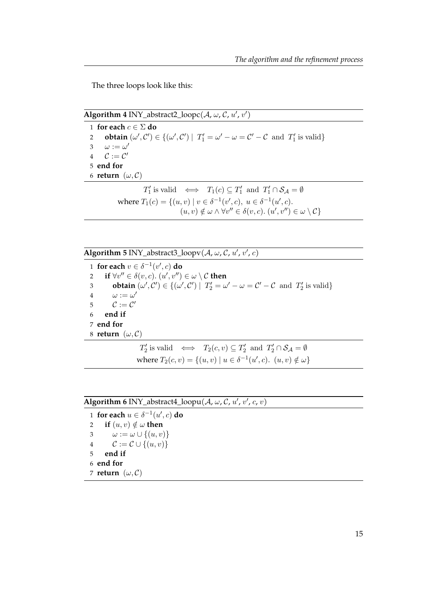The three loops look like this:

**Algorithm 4** INY\_abstract2\_loopc( $A$ ,  $\omega$ ,  $C$ ,  $u'$ ,  $v'$ )

1 **for each**  $c \in \Sigma$  **do 2 obtain**  $(\omega', C') \in \{(\omega', C') | T'_1 = \omega' - \omega = C' - C \text{ and } T'_1 \text{ is valid}\}\$ 3  $\omega := \omega'$ 4  $C := C'$ 5 **end for** 6 **return**  $(\omega, C)$  $T'_1$  is valid  $\iff$   $T_1(c) \subseteq T'_1$  and  $T'_1 \cap S_{\mathcal{A}} = \emptyset$ where  $T_1(c) = \{(u, v) \mid v \in \delta^{-1}(v', c), u \in \delta^{-1}(u', c).$ 

 $(u, v) \notin \omega \wedge \forall v'' \in \delta(v, c).$   $(u', v'') \in \omega \setminus C$ 

**Algorithm 5** INY\_abstract3\_loopv( $A$ ,  $\omega$ ,  $C$ ,  $u'$ ,  $v'$ ,  $c$ )

1 **for each**  $v \in \delta^{-1}(v', c)$  **do** 2 **if**  $\forall v'' \in \delta(v, c)$ .  $(u', v'') \in \omega \setminus C$  then 3 **obtain**  $(\omega', \mathcal{C}') \in \{(\omega', \mathcal{C}') \mid T'_2 = \omega' - \omega = \mathcal{C}' - \mathcal{C} \text{ and } T'_2 \text{ is valid}\}\$ 4  $\omega := \omega'$ 5  $C := C'$ 6 **end if** 7 **end for** 8 **return**  $(\omega, C)$  $T_2'$  is valid  $\iff T_2(c, v) \subseteq T_2'$  and  $T_2' \cap S_{\mathcal{A}} = \emptyset$ where  $T_2(c, v) = \{(u, v) | u \in \delta^{-1}(u', c). (u, v) \notin \omega\}$ 

**Algorithm 6** INY\_abstract4\_loopu( $A$ ,  $\omega$ ,  $C$ ,  $u'$ ,  $v'$ ,  $c$ ,  $v$ )

**for each**  $u \in \delta^{-1}(u', c)$  do **if**  $(u, v) \notin \omega$  **then**  $\omega := \omega \cup \{(u, v)\}\$  $\mathcal{C} := \mathcal{C} \cup \{(u, v)\}\$ 5 **end if** 6 **end for return**  $(\omega, C)$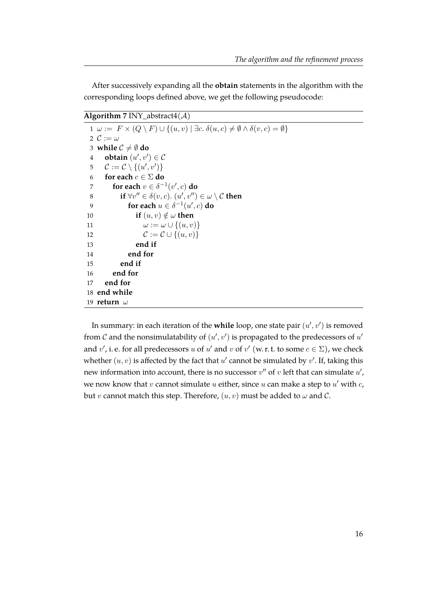After successively expanding all the **obtain** statements in the algorithm with the corresponding loops defined above, we get the following pseudocode:

### **Algorithm 7** INY\_abstract4( $\mathcal{A}$ )

|    | $1 \omega := F \times (Q \setminus F) \cup \{(u, v) \mid \exists c. \delta(u, c) \neq \emptyset \wedge \delta(v, c) = \emptyset\}$ |
|----|------------------------------------------------------------------------------------------------------------------------------------|
|    | 2 $\mathcal{C} := \omega$                                                                                                          |
|    | 3 while $C \neq \emptyset$ do                                                                                                      |
| 4  | <b>obtain</b> $(u', v') \in \mathcal{C}$                                                                                           |
| 5  | $\mathcal{C} := \mathcal{C} \setminus \{(u', v')\}$                                                                                |
| 6  | -for each $c \in \Sigma$ do                                                                                                        |
| 7  | for each $v \in \delta^{-1}(v', c)$ do                                                                                             |
| 8  | if $\forall v'' \in \delta(v, c)$ . $(u', v'') \in \omega \setminus C$ then                                                        |
| 9  | for each $u \in \delta^{-1}(u', c)$ do                                                                                             |
| 10 | if $(u, v) \notin \omega$ then                                                                                                     |
| 11 | $\omega := \omega \cup \{(u, v)\}\$                                                                                                |
| 12 | $\mathcal{C} := \mathcal{C} \cup \{(u, v)\}\$                                                                                      |
| 13 | end if                                                                                                                             |
| 14 | end for                                                                                                                            |
| 15 | end if                                                                                                                             |
| 16 | end for                                                                                                                            |
| 17 | end for                                                                                                                            |
|    | 18 end while                                                                                                                       |
|    | 19 return $\omega$                                                                                                                 |

<span id="page-22-0"></span>In summary: in each iteration of the **while** loop, one state pair  $(u', v')$  is removed from  $\mathcal C$  and the nonsimulatability of  $(u', v')$  is propagated to the predecessors of  $u'$ and  $v'$ , i. e. for all predecessors u of u' and v of  $v'$  (w. r. t. to some  $c \in \Sigma$ ), we check whether  $(u, v)$  is affected by the fact that  $u'$  cannot be simulated by  $v'$ . If, taking this new information into account, there is no successor  $v''$  of  $v$  left that can simulate  $u'$ , we now know that  $v$  cannot simulate  $u$  either, since  $u$  can make a step to  $u'$  with  $c$ , but v cannot match this step. Therefore,  $(u, v)$  must be added to  $\omega$  and  $\mathcal{C}$ .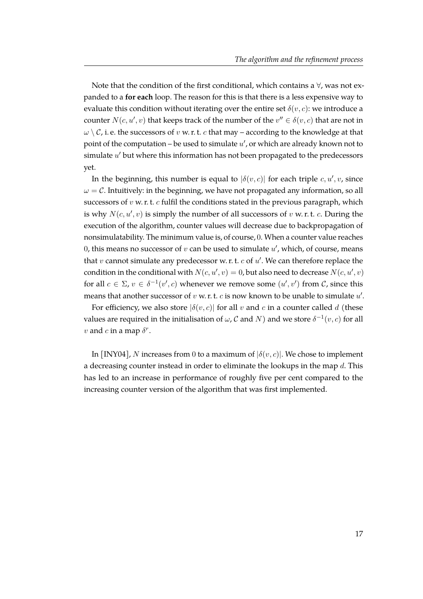Note that the condition of the first conditional, which contains a  $\forall$ , was not expanded to a **for each** loop. The reason for this is that there is a less expensive way to evaluate this condition without iterating over the entire set  $\delta(v, c)$ : we introduce a counter  $N(c, u', v)$  that keeps track of the number of the  $v'' \in \delta(v, c)$  that are not in  $\omega \setminus \mathcal{C}$ , i. e. the successors of v w. r. t. c that may – according to the knowledge at that point of the computation – be used to simulate  $u'$ , or which are already known not to simulate  $u'$  but where this information has not been propagated to the predecessors yet.

In the beginning, this number is equal to  $|\delta(v, c)|$  for each triple  $c, u', v$ , since  $\omega = \mathcal{C}$ . Intuitively: in the beginning, we have not propagated any information, so all successors of  $v$  w. r. t.  $c$  fulfil the conditions stated in the previous paragraph, which is why  $N(c, u', v)$  is simply the number of all successors of  $v$  w. r. t.  $c$ . During the execution of the algorithm, counter values will decrease due to backpropagation of nonsimulatability. The minimum value is, of course, 0. When a counter value reaches 0, this means no successor of  $v$  can be used to simulate  $u'$ , which, of course, means that  $v$  cannot simulate any predecessor w. r. t.  $c$  of  $u'$ . We can therefore replace the condition in the conditional with  $N(c, u', v) = 0$ , but also need to decrease  $N(c, u', v)$ for all  $c \in \Sigma$ ,  $v \in \delta^{-1}(v', c)$  whenever we remove some  $(u', v')$  from  $\mathcal{C}$ , since this means that another successor of  $v$  w. r. t.  $c$  is now known to be unable to simulate  $u'$ .

For efficiency, we also store  $|\delta(v, c)|$  for all v and c in a counter called d (these values are required in the initialisation of  $\omega$ ,  ${\cal C}$  and  $N)$  and we store  $\delta^{-1}(v,c)$  for all v and c in a map  $\delta^r$ .

In [\[INY04\]](#page-39-0), N increases from 0 to a maximum of  $|\delta(v, c)|$ . We chose to implement a decreasing counter instead in order to eliminate the lookups in the map  $d$ . This has led to an increase in performance of roughly five per cent compared to the increasing counter version of the algorithm that was first implemented.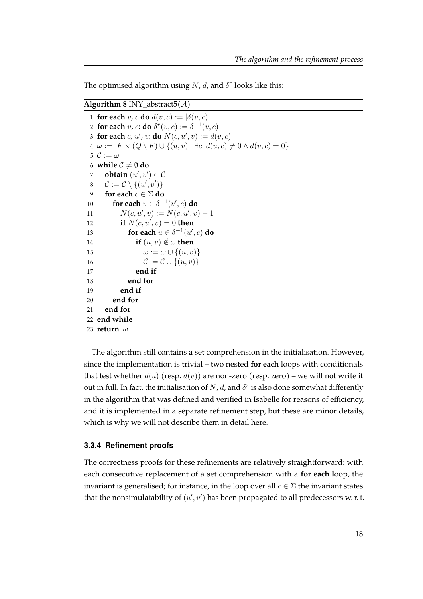The optimised algorithm using N, d, and  $\delta^r$  looks like this:

#### <span id="page-24-1"></span>**Algorithm 8** INY\_abstract5( $A$ )

**for each** v, c **do**  $d(v, c) := |\delta(v, c)|$ **for each**  $v$ ,  $c$ : **do**  $\delta^r(v, c) := \delta^{-1}(v, c)$ **for each** c, u', v: **do**  $N(c, u', v) := d(v, c)$  $4 \omega := F \times (Q \setminus F) \cup \{(u, v) \mid \exists c. d(u, c) \neq 0 \land d(v, c) = 0\}$  $\mathcal{C} := \omega$ **while**  $C \neq \emptyset$  **do obtain**  $(u', v') \in \mathcal{C}$  $C := C \setminus \{(u', v')\}$ **for each**  $c \in \Sigma$  **do for each**  $v \in \delta^{-1}(v', c)$  **do**  $N(c, u', v) := N(c, u', v) - 1$ **if**  $N(c, u', v) = 0$  **then for each**  $u \in \delta^{-1}(u', c)$  **do if**  $(u, v) \notin \omega$  **then**  $\omega := \omega \cup \{(u, v)\}\$  $\mathcal{C} := \mathcal{C} \cup \{(u, v)\}\$ 17 **end if** 18 **end for** 19 **end if** 20 **end for** 21 **end for end while** 23 **return** ω

The algorithm still contains a set comprehension in the initialisation. However, since the implementation is trivial – two nested **for each** loops with conditionals that test whether  $d(u)$  (resp.  $d(v)$ ) are non-zero (resp. zero) – we will not write it out in full. In fact, the initialisation of N, d, and  $\delta^r$  is also done somewhat differently in the algorithm that was defined and verified in Isabelle for reasons of efficiency, and it is implemented in a separate refinement step, but these are minor details, which is why we will not describe them in detail here.

#### <span id="page-24-0"></span>**3.3.4 Refinement proofs**

The correctness proofs for these refinements are relatively straightforward: with each consecutive replacement of a set comprehension with a **for each** loop, the invariant is generalised; for instance, in the loop over all  $c \in \Sigma$  the invariant states that the nonsimulatability of  $(u', v')$  has been propagated to all predecessors w.r.t.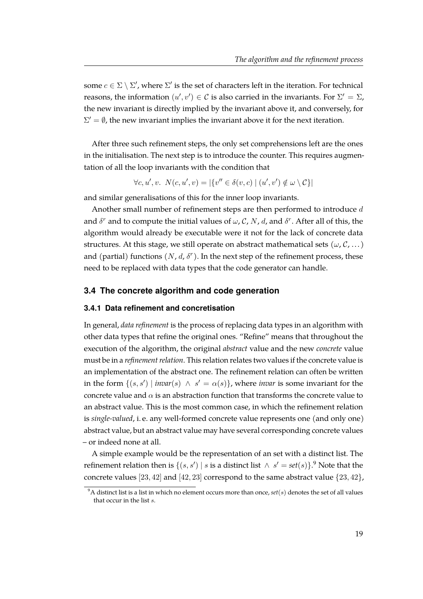some  $c \in \Sigma \setminus \Sigma'$ , where  $\Sigma'$  is the set of characters left in the iteration. For technical reasons, the information  $(u', v') \in \mathcal{C}$  is also carried in the invariants. For  $\Sigma' = \Sigma$ , the new invariant is directly implied by the invariant above it, and conversely, for  $\Sigma' = \emptyset$ , the new invariant implies the invariant above it for the next iteration.

After three such refinement steps, the only set comprehensions left are the ones in the initialisation. The next step is to introduce the counter. This requires augmentation of all the loop invariants with the condition that

 $\forall c, u', v. \ N(c, u', v) = |\{v'' \in \delta(v, c) \mid (u', v') \notin \omega \setminus C\}|$ 

and similar generalisations of this for the inner loop invariants.

Another small number of refinement steps are then performed to introduce d and  $\delta^r$  and to compute the initial values of  $\omega$ , C, N, d, and  $\delta^r$ . After all of this, the algorithm would already be executable were it not for the lack of concrete data structures. At this stage, we still operate on abstract mathematical sets  $(\omega, \mathcal{C}, \dots)$ and (partial) functions  $(N, d, \delta^r)$ . In the next step of the refinement process, these need to be replaced with data types that the code generator can handle.

#### <span id="page-25-0"></span>**3.4 The concrete algorithm and code generation**

#### <span id="page-25-1"></span>**3.4.1 Data refinement and concretisation**

In general, *data refinement* is the process of replacing data types in an algorithm with other data types that refine the original ones. "Refine" means that throughout the execution of the algorithm, the original *abstract* value and the new *concrete* value must be in a *refinement relation*. This relation relates two values if the concrete value is an implementation of the abstract one. The refinement relation can often be written in the form  $\{(s, s') \mid invar(s) \land s' = \alpha(s)\}\$ , where *invar* is some invariant for the concrete value and  $\alpha$  is an abstraction function that transforms the concrete value to an abstract value. This is the most common case, in which the refinement relation is *single-valued*, i. e. any well-formed concrete value represents one (and only one) abstract value, but an abstract value may have several corresponding concrete values – or indeed none at all.

A simple example would be the representation of an set with a distinct list. The refinement relation then is  $\{(s, s') \mid s \text{ is a distinct list } \wedge s' = set(s)\}.$ <sup>[9](#page-25-2)</sup> Note that the concrete values [23, 42] and [42, 23] correspond to the same abstract value  $\{23, 42\}$ ,

<span id="page-25-2"></span> $9^9$ A distinct list is a list in which no element occurs more than once,  $set(s)$  denotes the set of all values that occur in the list s.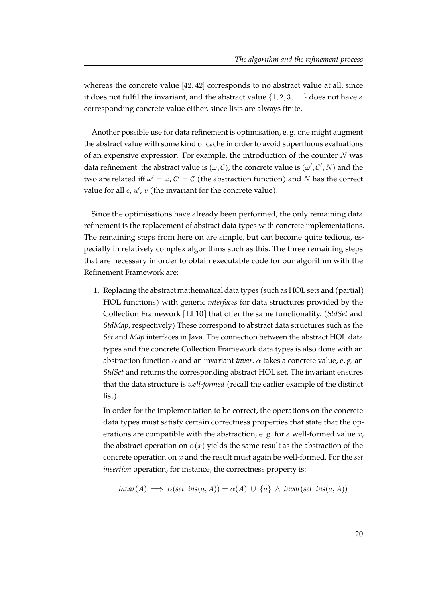whereas the concrete value [42, 42] corresponds to no abstract value at all, since it does not fulfil the invariant, and the abstract value  $\{1, 2, 3, \ldots\}$  does not have a corresponding concrete value either, since lists are always finite.

Another possible use for data refinement is optimisation, e. g. one might augment the abstract value with some kind of cache in order to avoid superfluous evaluations of an expensive expression. For example, the introduction of the counter  $N$  was data refinement: the abstract value is  $(\omega, C)$ , the concrete value is  $(\omega', C', N)$  and the two are related iff  $\omega' = \omega$ ,  $\mathcal{C}' = \mathcal{C}$  (the abstraction function) and N has the correct value for all  $c, u', v$  (the invariant for the concrete value).

Since the optimisations have already been performed, the only remaining data refinement is the replacement of abstract data types with concrete implementations. The remaining steps from here on are simple, but can become quite tedious, especially in relatively complex algorithms such as this. The three remaining steps that are necessary in order to obtain executable code for our algorithm with the Refinement Framework are:

1. Replacing the abstract mathematical data types (such as HOL sets and (partial) HOL functions) with generic *interfaces* for data structures provided by the Collection Framework [\[LL10\]](#page-39-8) that offer the same functionality. (*StdSet* and *StdMap*, respectively) These correspond to abstract data structures such as the *Set* and *Map* interfaces in Java. The connection between the abstract HOL data types and the concrete Collection Framework data types is also done with an abstraction function  $\alpha$  and an invariant *invar*.  $\alpha$  takes a concrete value, e.g. an *StdSet* and returns the corresponding abstract HOL set. The invariant ensures that the data structure is *well-formed* (recall the earlier example of the distinct list).

In order for the implementation to be correct, the operations on the concrete data types must satisfy certain correctness properties that state that the operations are compatible with the abstraction, e. g. for a well-formed value x, the abstract operation on  $\alpha(x)$  yields the same result as the abstraction of the concrete operation on x and the result must again be well-formed. For the *set insertion* operation, for instance, the correctness property is:

$$
invar(A) \implies \alpha(\text{set\_ins}(a, A)) = \alpha(A) \cup \{a\} \land invar(\text{set\_ins}(a, A))
$$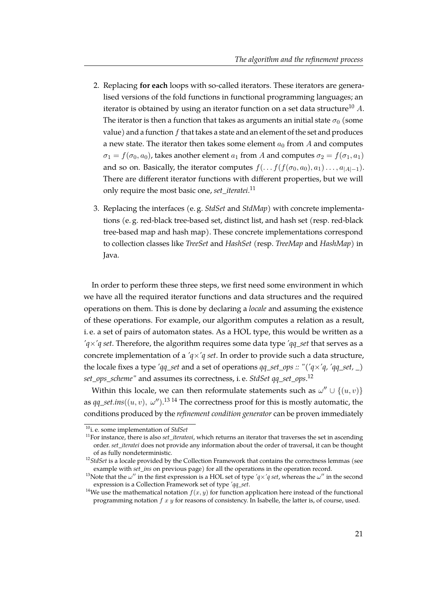- 2. Replacing **for each** loops with so-called iterators. These iterators are generalised versions of the fold functions in functional programming languages; an iterator is obtained by using an iterator function on a set data structure<sup>[10](#page-27-0)</sup> A. The iterator is then a function that takes as arguments an initial state  $\sigma_0$  (some value) and a function  $f$  that takes a state and an element of the set and produces a new state. The iterator then takes some element  $a_0$  from A and computes  $\sigma_1 = f(\sigma_0, a_0)$ , takes another element  $a_1$  from A and computes  $\sigma_2 = f(\sigma_1, a_1)$ and so on. Basically, the iterator computes  $f(\ldots f(f(\sigma_0, a_0), a_1) \ldots, a_{|A|-1})$ . There are different iterator functions with different properties, but we will only require the most basic one, *set\_iteratei*. [11](#page-27-1)
- 3. Replacing the interfaces (e. g. *StdSet* and *StdMap*) with concrete implementations (e. g. red-black tree-based set, distinct list, and hash set (resp. red-black tree-based map and hash map). These concrete implementations correspond to collection classes like *TreeSet* and *HashSet* (resp. *TreeMap* and *HashMap*) in Java.

In order to perform these three steps, we first need some environment in which we have all the required iterator functions and data structures and the required operations on them. This is done by declaring a *locale* and assuming the existence of these operations. For example, our algorithm computes a relation as a result, i. e. a set of pairs of automaton states. As a HOL type, this would be written as a *'q*×*'q set*. Therefore, the algorithm requires some data type *'qq\_set* that serves as a concrete implementation of a *'q*×*'q set*. In order to provide such a data structure, the locale fixes a type *'qq\_set* and a set of operations *qq\_set\_ops :: "('q*×*'q, 'qq\_set, \_) set\_ops\_scheme"* and assumes its correctness, i. e. *StdSet qq\_set\_ops*. [12](#page-27-2)

Within this locale, we can then reformulate statements such as  $\omega'' \cup \{(u, v)\}$ as  $qq\_set.ins((u, v), \omega'')$ .<sup>[13](#page-27-3) [14](#page-27-4)</sup> The correctness proof for this is mostly automatic, the conditions produced by the *refinement condition generator* can be proven immediately

<span id="page-27-0"></span><sup>10</sup>i. e. some implementation of *StdSet*

<span id="page-27-1"></span><sup>&</sup>lt;sup>11</sup>For instance, there is also *set iterateoi*, which returns an iterator that traverses the set in ascending order. *set\_iteratei* does not provide any information about the order of traversal, it can be thought of as fully nondeterministic.

<span id="page-27-2"></span><sup>&</sup>lt;sup>12</sup>StdSet is a locale provided by the Collection Framework that contains the correctness lemmas (see example with *set\_ins* on previous page) for all the operations in the operation record.

<span id="page-27-3"></span><sup>&</sup>lt;sup>13</sup>Note that the  $\omega''$  in the first expression is a HOL set of type *'q*×*'q set*, whereas the  $\omega''$  in the second expression is a Collection Framework set of type *'qq\_set*.

<span id="page-27-4"></span><sup>&</sup>lt;sup>14</sup>We use the mathematical notation  $f(x, y)$  for function application here instead of the functional programming notation  $f x y$  for reasons of consistency. In Isabelle, the latter is, of course, used.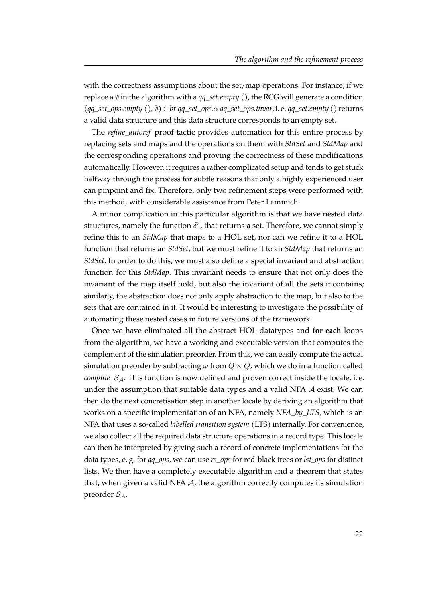with the correctness assumptions about the set/map operations. For instance, if we replace a ∅ in the algorithm with a *qq\_set.empty ()*, the RCG will generate a condition  $(qq_set_$ *ops.empty*  $(), \emptyset) \in br$  *qq\_set\_ops.o. qq\_set\_ops.invar, i. e. qq\_set.empty*  $()$  returns a valid data structure and this data structure corresponds to an empty set.

The *refine\_autoref* proof tactic provides automation for this entire process by replacing sets and maps and the operations on them with *StdSet* and *StdMap* and the corresponding operations and proving the correctness of these modifications automatically. However, it requires a rather complicated setup and tends to get stuck halfway through the process for subtle reasons that only a highly experienced user can pinpoint and fix. Therefore, only two refinement steps were performed with this method, with considerable assistance from Peter Lammich.

A minor complication in this particular algorithm is that we have nested data structures, namely the function  $\delta^r$ , that returns a set. Therefore, we cannot simply refine this to an *StdMap* that maps to a HOL set, nor can we refine it to a HOL function that returns an *StdSet*, but we must refine it to an *StdMap* that returns an *StdSet*. In order to do this, we must also define a special invariant and abstraction function for this *StdMap*. This invariant needs to ensure that not only does the invariant of the map itself hold, but also the invariant of all the sets it contains; similarly, the abstraction does not only apply abstraction to the map, but also to the sets that are contained in it. It would be interesting to investigate the possibility of automating these nested cases in future versions of the framework.

Once we have eliminated all the abstract HOL datatypes and **for each** loops from the algorithm, we have a working and executable version that computes the complement of the simulation preorder. From this, we can easily compute the actual simulation preorder by subtracting  $\omega$  from  $Q \times Q$ , which we do in a function called *compute*  $S_A$ . This function is now defined and proven correct inside the locale, i. e. under the assumption that suitable data types and a valid NFA  $\mathcal A$  exist. We can then do the next concretisation step in another locale by deriving an algorithm that works on a specific implementation of an NFA, namely *NFA\_by\_LTS*, which is an NFA that uses a so-called *labelled transition system* (LTS) internally. For convenience, we also collect all the required data structure operations in a record type. This locale can then be interpreted by giving such a record of concrete implementations for the data types, e. g. for *qq\_ops*, we can use *rs\_ops* for red-black trees or *lsi\_ops* for distinct lists. We then have a completely executable algorithm and a theorem that states that, when given a valid NFA  $\mathcal{A}$ , the algorithm correctly computes its simulation preorder  $S_4$ .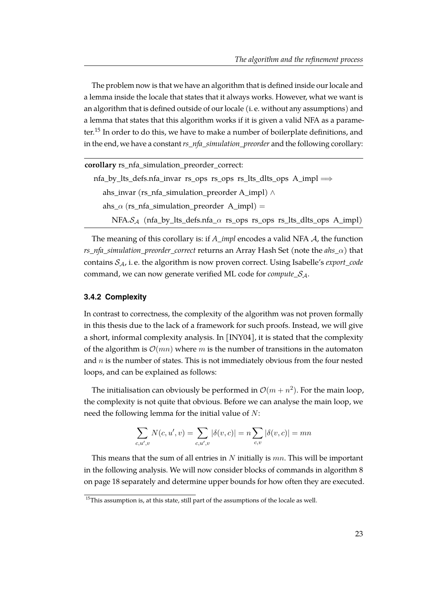The problem now is that we have an algorithm that is defined inside our locale and a lemma inside the locale that states that it always works. However, what we want is an algorithm that is defined outside of our locale (i. e. without any assumptions) and a lemma that states that this algorithm works if it is given a valid NFA as a parameter.[15](#page-29-1) In order to do this, we have to make a number of boilerplate definitions, and in the end, we have a constant *rs\_nfa\_simulation\_preorder* and the following corollary:

| corollary rs_nfa_simulation_preorder_correct:                                   |  |  |  |  |  |  |
|---------------------------------------------------------------------------------|--|--|--|--|--|--|
| $nfa_by_lts_defs.nfa_invar rs_ops rs_ops_rslts_lts_ops A_impl \Rightarrow$      |  |  |  |  |  |  |
| ahs_invar (rs_nfa_simulation_preorder A_impl) $\wedge$                          |  |  |  |  |  |  |
| ahs_ $\alpha$ (rs_nfa_simulation_preorder A_impl) =                             |  |  |  |  |  |  |
| NFA. $S_A$ (nfa_by_lts_defs.nfa_ $\alpha$ rs_ops rs_ops rs_lts_dlts_ops A_impl) |  |  |  |  |  |  |

The meaning of this corollary is: if *A\_impl* encodes a valid NFA A, the function *rs\_nfa\_simulation\_preorder\_correct* returns an Array Hash Set (note the *ahs\_*α) that contains SA, i. e. the algorithm is now proven correct. Using Isabelle's *export\_code* command, we can now generate verified ML code for *compute\_*SA.

#### <span id="page-29-0"></span>**3.4.2 Complexity**

In contrast to correctness, the complexity of the algorithm was not proven formally in this thesis due to the lack of a framework for such proofs. Instead, we will give a short, informal complexity analysis. In [\[INY04\]](#page-39-0), it is stated that the complexity of the algorithm is  $\mathcal{O}(mn)$  where m is the number of transitions in the automaton and  $n$  is the number of states. This is not immediately obvious from the four nested loops, and can be explained as follows:

The initialisation can obviously be performed in  $\mathcal{O}(m + n^2)$ . For the main loop, the complexity is not quite that obvious. Before we can analyse the main loop, we need the following lemma for the initial value of N:

$$
\sum_{c,u',v} N(c,u',v) = \sum_{c,u',v} |\delta(v,c)| = n \sum_{c,v} |\delta(v,c)| = mn
$$

This means that the sum of all entries in  $N$  initially is  $mn$ . This will be important in the following analysis. We will now consider blocks of commands in algorithm 8 on page [18](#page-24-1) separately and determine upper bounds for how often they are executed.

<span id="page-29-1"></span> $15$ This assumption is, at this state, still part of the assumptions of the locale as well.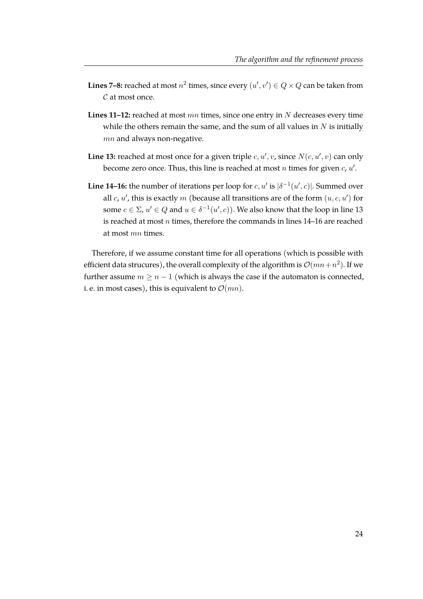- **Lines 7–8:** reached at most  $n^2$  times, since every  $(u', v') \in Q \times Q$  can be taken from  $\mathcal C$  at most once.
- Lines 11-12: reached at most  $mn$  times, since one entry in N decreases every time while the others remain the same, and the sum of all values in  $N$  is initially mn and always non-negative.
- **Line 13:** reached at most once for a given triple  $c, u', v$ , since  $N(c, u', v)$  can only become zero once. Thus, this line is reached at most n times for given  $c$ ,  $u'$ .
- **Line 14–16:** the number of iterations per loop for  $c, u'$  is  $|\delta^{-1}(u', c)|$ . Summed over all  $c, u'$ , this is exactly  $m$  (because all transitions are of the form  $(u, c, u')$  for some  $c \in \Sigma$ ,  $u' \in Q$  and  $u \in \delta^{-1}(u', c)$ ). We also know that the loop in line 13 is reached at most  $n$  times, therefore the commands in lines  $14-16$  are reached at most mn times.

Therefore, if we assume constant time for all operations (which is possible with efficient data strucures), the overall complexity of the algorithm is  $\mathcal{O}(mn+n^2)$ . If we further assume  $m > n - 1$  (which is always the case if the automaton is connected, i. e. in most cases), this is equivalent to  $\mathcal{O}(mn)$ .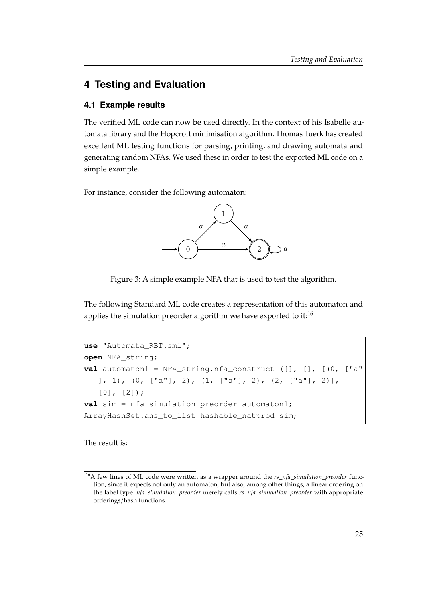# <span id="page-31-0"></span>**4 Testing and Evaluation**

#### <span id="page-31-1"></span>**4.1 Example results**

The verified ML code can now be used directly. In the context of his Isabelle automata library and the Hopcroft minimisation algorithm, Thomas Tuerk has created excellent ML testing functions for parsing, printing, and drawing automata and generating random NFAs. We used these in order to test the exported ML code on a simple example.

<span id="page-31-3"></span>For instance, consider the following automaton:



Figure 3: A simple example NFA that is used to test the algorithm.

The following Standard ML code creates a representation of this automaton and applies the simulation preorder algorithm we have exported to it:<sup>[16](#page-31-2)</sup>

```
use "Automata_RBT.sml";
open NFA_string;
val automaton1 = NFA_string.nfa_construct ([], [], [(0, ["a"
    \left[1, 1\right), \left(0, \left[1a^{n}\right], 2\right), \left(1, \left[1a^{n}\right], 2\right), \left(2, \left[1a^{n}\right], 2\right),
    [0], [2]);
val sim = nfa_simulation_preorder automaton1;
ArrayHashSet.ahs_to_list hashable_natprod sim;
```
The result is:

<span id="page-31-2"></span><sup>&</sup>lt;sup>16</sup>A few lines of ML code were written as a wrapper around the  $rs\_nfa\_simulation\_preorder$  function, since it expects not only an automaton, but also, among other things, a linear ordering on the label type. *nfa\_simulation\_preorder* merely calls *rs\_nfa\_simulation\_preorder* with appropriate orderings/hash functions.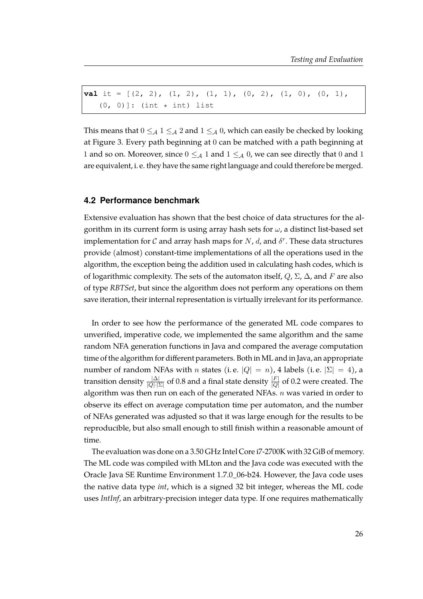**val** it =  $[(2, 2), (1, 2), (1, 1), (0, 2), (1, 0), (0, 1),$  $(0, 0)$ ]: (int  $\star$  int) list

This means that  $0 \leq_{\mathcal{A}} 1 \leq_{\mathcal{A}} 2$  and  $1 \leq_{\mathcal{A}} 0$ , which can easily be checked by looking at Figure [3.](#page-31-3) Every path beginning at 0 can be matched with a path beginning at 1 and so on. Moreover, since  $0 \leq_{\mathcal{A}} 1$  and  $1 \leq_{\mathcal{A}} 0$ , we can see directly that 0 and 1 are equivalent, i. e. they have the same right language and could therefore be merged.

#### <span id="page-32-0"></span>**4.2 Performance benchmark**

Extensive evaluation has shown that the best choice of data structures for the algorithm in its current form is using array hash sets for  $\omega$ , a distinct list-based set implementation for C and array hash maps for N, d, and  $\delta^r$ . These data structures provide (almost) constant-time implementations of all the operations used in the algorithm, the exception being the addition used in calculating hash codes, which is of logarithmic complexity. The sets of the automaton itself,  $Q$ ,  $\Sigma$ ,  $\Delta$ , and F are also of type *RBTSet*, but since the algorithm does not perform any operations on them save iteration, their internal representation is virtually irrelevant for its performance.

In order to see how the performance of the generated ML code compares to unverified, imperative code, we implemented the same algorithm and the same random NFA generation functions in Java and compared the average computation time of the algorithm for different parameters. Both in ML and in Java, an appropriate number of random NFAs with *n* states (i.e.  $|Q| = n$ ), 4 labels (i.e.  $|\Sigma| = 4$ ), a transition density  $\frac{|\Delta|}{|Q|\cdot|\Sigma|}$  of 0.8 and a final state density  $\frac{|F|}{|Q|}$  of 0.2 were created. The algorithm was then run on each of the generated NFAs.  $n$  was varied in order to observe its effect on average computation time per automaton, and the number of NFAs generated was adjusted so that it was large enough for the results to be reproducible, but also small enough to still finish within a reasonable amount of time.

The evaluation was done on a 3.50 GHz Intel Core i7-2700K with 32 GiB of memory. The ML code was compiled with MLton and the Java code was executed with the Oracle Java SE Runtime Environment 1.7.0\_06-b24. However, the Java code uses the native data type *int*, which is a signed 32 bit integer, whereas the ML code uses *IntInf*, an arbitrary-precision integer data type. If one requires mathematically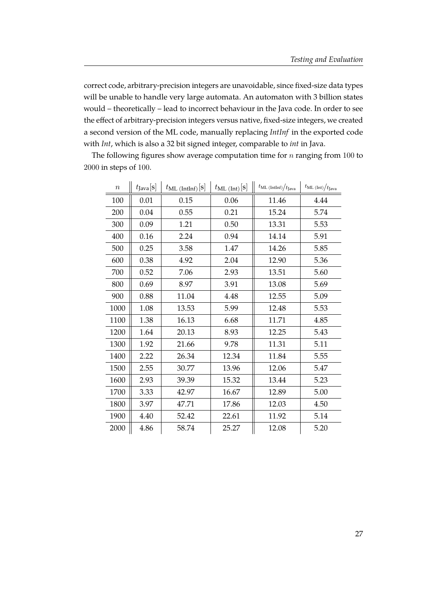correct code, arbitrary-precision integers are unavoidable, since fixed-size data types will be unable to handle very large automata. An automaton with 3 billion states would – theoretically – lead to incorrect behaviour in the Java code. In order to see the effect of arbitrary-precision integers versus native, fixed-size integers, we created a second version of the ML code, manually replacing *IntInf* in the exported code with *Int*, which is also a 32 bit signed integer, comparable to *int* in Java.

| $\, n$ | $t_{\text{Java}}[\mathbf{s}]$ | $t_{ML (Intlnf)}[s]$ | $t_{ML (Int)}[s]$ | $t_{ML (Intlnf)}/t_{Java}$ | $t_{ML (Int)} / t_{Java}$ |
|--------|-------------------------------|----------------------|-------------------|----------------------------|---------------------------|
| 100    | 0.01                          | 0.15                 | 0.06              | 11.46                      | 4.44                      |
| 200    | 0.04                          | 0.55                 | 0.21              | 15.24                      | 5.74                      |
| 300    | 0.09                          | 1.21                 | 0.50              | 13.31                      | 5.53                      |
| 400    | 0.16                          | 2.24                 | 0.94              | 14.14                      | 5.91                      |
| 500    | 0.25                          | 3.58                 | 1.47              | 14.26                      | 5.85                      |
| 600    | 0.38                          | 4.92                 | 2.04              | 12.90                      | 5.36                      |
| 700    | 0.52                          | 7.06                 | 2.93              | 13.51                      | 5.60                      |
| 800    | 0.69                          | 8.97                 | 3.91              | 13.08                      | 5.69                      |
| 900    | 0.88                          | 11.04                | 4.48              | 12.55                      | 5.09                      |
| 1000   | 1.08                          | 13.53                | 5.99              | 12.48                      | 5.53                      |
| 1100   | 1.38                          | 16.13                | 6.68              | 11.71                      | 4.85                      |
| 1200   | 1.64                          | 20.13                | 8.93              | 12.25                      | 5.43                      |
| 1300   | 1.92                          | 21.66                | 9.78              | 11.31                      | 5.11                      |
| 1400   | 2.22                          | 26.34                | 12.34             | 11.84                      | 5.55                      |
| 1500   | 2.55                          | 30.77                | 13.96             | 12.06                      | 5.47                      |
| 1600   | 2.93                          | 39.39                | 15.32             | 13.44                      | 5.23                      |
| 1700   | 3.33                          | 42.97                | 16.67             | 12.89                      | 5.00                      |
| 1800   | 3.97                          | 47.71                | 17.86             | 12.03                      | 4.50                      |
| 1900   | 4.40                          | 52.42                | 22.61             | 11.92                      | 5.14                      |
| 2000   | 4.86                          | 58.74                | 25.27             | 12.08                      | 5.20                      |

The following figures show average computation time for  $n$  ranging from 100 to in steps of 100.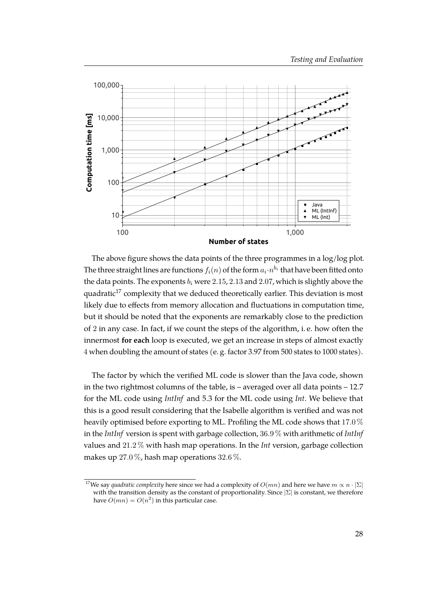

The above figure shows the data points of the three programmes in a log/log plot. The three straight lines are functions  $f_i(n)$  of the form  $a_i\!\cdot\! n^{b_i}$  that have been fitted onto the data points. The exponents  $b_i$  were 2.15, 2.13 and 2.07, which is slightly above the quadratic<sup>[17](#page-34-0)</sup> complexity that we deduced theoretically earlier. This deviation is most likely due to effects from memory allocation and fluctuations in computation time, but it should be noted that the exponents are remarkably close to the prediction of 2 in any case. In fact, if we count the steps of the algorithm, i. e. how often the innermost **for each** loop is executed, we get an increase in steps of almost exactly 4 when doubling the amount of states (e. g. factor 3.97 from 500 states to 1000 states).

The factor by which the verified ML code is slower than the Java code, shown in the two rightmost columns of the table, is – averaged over all data points – 12.7 for the ML code using *IntInf* and 5.3 for the ML code using *Int*. We believe that this is a good result considering that the Isabelle algorithm is verified and was not heavily optimised before exporting to ML. Profiling the ML code shows that 17.0 % in the *IntInf* version is spent with garbage collection, 36.9 % with arithmetic of *IntInf* values and 21.2 % with hash map operations. In the *Int* version, garbage collection makes up 27.0 %, hash map operations 32.6 %.

<span id="page-34-0"></span><sup>&</sup>lt;sup>17</sup>We say *quadratic complexity* here since we had a complexity of  $O(mn)$  and here we have  $m \propto n \cdot |\Sigma|$ with the transition density as the constant of proportionality. Since  $|\Sigma|$  is constant, we therefore have  $O(mn) = O(n^2)$  in this particular case.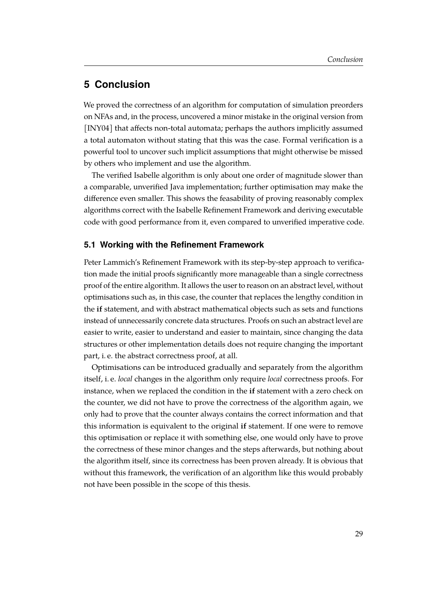# <span id="page-35-0"></span>**5 Conclusion**

We proved the correctness of an algorithm for computation of simulation preorders on NFAs and, in the process, uncovered a minor mistake in the original version from [\[INY04\]](#page-39-0) that affects non-total automata; perhaps the authors implicitly assumed a total automaton without stating that this was the case. Formal verification is a powerful tool to uncover such implicit assumptions that might otherwise be missed by others who implement and use the algorithm.

The verified Isabelle algorithm is only about one order of magnitude slower than a comparable, unverified Java implementation; further optimisation may make the difference even smaller. This shows the feasability of proving reasonably complex algorithms correct with the Isabelle Refinement Framework and deriving executable code with good performance from it, even compared to unverified imperative code.

#### <span id="page-35-1"></span>**5.1 Working with the Refinement Framework**

Peter Lammich's Refinement Framework with its step-by-step approach to verification made the initial proofs significantly more manageable than a single correctness proof of the entire algorithm. It allows the user to reason on an abstract level, without optimisations such as, in this case, the counter that replaces the lengthy condition in the **if** statement, and with abstract mathematical objects such as sets and functions instead of unnecessarily concrete data structures. Proofs on such an abstract level are easier to write, easier to understand and easier to maintain, since changing the data structures or other implementation details does not require changing the important part, i. e. the abstract correctness proof, at all.

Optimisations can be introduced gradually and separately from the algorithm itself, i. e. *local* changes in the algorithm only require *local* correctness proofs. For instance, when we replaced the condition in the **if** statement with a zero check on the counter, we did not have to prove the correctness of the algorithm again, we only had to prove that the counter always contains the correct information and that this information is equivalent to the original **if** statement. If one were to remove this optimisation or replace it with something else, one would only have to prove the correctness of these minor changes and the steps afterwards, but nothing about the algorithm itself, since its correctness has been proven already. It is obvious that without this framework, the verification of an algorithm like this would probably not have been possible in the scope of this thesis.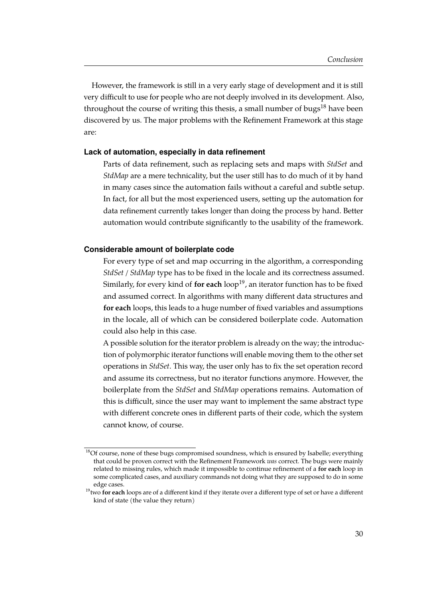However, the framework is still in a very early stage of development and it is still very difficult to use for people who are not deeply involved in its development. Also, throughout the course of writing this thesis, a small number of bugs<sup>[18](#page-36-0)</sup> have been discovered by us. The major problems with the Refinement Framework at this stage are:

#### **Lack of automation, especially in data refinement**

Parts of data refinement, such as replacing sets and maps with *StdSet* and *StdMap* are a mere technicality, but the user still has to do much of it by hand in many cases since the automation fails without a careful and subtle setup. In fact, for all but the most experienced users, setting up the automation for data refinement currently takes longer than doing the process by hand. Better automation would contribute significantly to the usability of the framework.

#### **Considerable amount of boilerplate code**

For every type of set and map occurring in the algorithm, a corresponding *StdSet* / *StdMap* type has to be fixed in the locale and its correctness assumed. Similarly, for every kind of **for each** loop<sup>[19](#page-36-1)</sup>, an iterator function has to be fixed and assumed correct. In algorithms with many different data structures and **for each** loops, this leads to a huge number of fixed variables and assumptions in the locale, all of which can be considered boilerplate code. Automation could also help in this case.

A possible solution for the iterator problem is already on the way; the introduction of polymorphic iterator functions will enable moving them to the other set operations in *StdSet*. This way, the user only has to fix the set operation record and assume its correctness, but no iterator functions anymore. However, the boilerplate from the *StdSet* and *StdMap* operations remains. Automation of this is difficult, since the user may want to implement the same abstract type with different concrete ones in different parts of their code, which the system cannot know, of course.

<span id="page-36-0"></span> $18$ Of course, none of these bugs compromised soundness, which is ensured by Isabelle; everything that could be proven correct with the Refinement Framework *was* correct. The bugs were mainly related to missing rules, which made it impossible to continue refinement of a **for each** loop in some complicated cases, and auxiliary commands not doing what they are supposed to do in some edge cases.

<span id="page-36-1"></span><sup>&</sup>lt;sup>19</sup>two **for each** loops are of a different kind if they iterate over a different type of set or have a different kind of state (the value they return)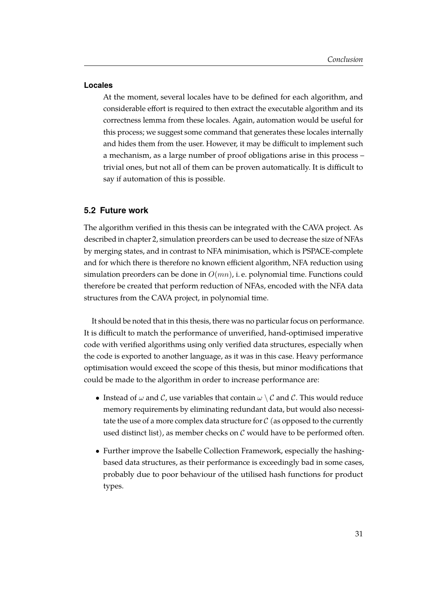#### **Locales**

At the moment, several locales have to be defined for each algorithm, and considerable effort is required to then extract the executable algorithm and its correctness lemma from these locales. Again, automation would be useful for this process; we suggest some command that generates these locales internally and hides them from the user. However, it may be difficult to implement such a mechanism, as a large number of proof obligations arise in this process – trivial ones, but not all of them can be proven automatically. It is difficult to say if automation of this is possible.

#### <span id="page-37-0"></span>**5.2 Future work**

The algorithm verified in this thesis can be integrated with the CAVA project. As described in chapter 2, simulation preorders can be used to decrease the size of NFAs by merging states, and in contrast to NFA minimisation, which is PSPACE-complete and for which there is therefore no known efficient algorithm, NFA reduction using simulation preorders can be done in  $O(mn)$ , i.e. polynomial time. Functions could therefore be created that perform reduction of NFAs, encoded with the NFA data structures from the CAVA project, in polynomial time.

It should be noted that in this thesis, there was no particular focus on performance. It is difficult to match the performance of unverified, hand-optimised imperative code with verified algorithms using only verified data structures, especially when the code is exported to another language, as it was in this case. Heavy performance optimisation would exceed the scope of this thesis, but minor modifications that could be made to the algorithm in order to increase performance are:

- Instead of  $\omega$  and C, use variables that contain  $\omega \setminus C$  and C. This would reduce memory requirements by eliminating redundant data, but would also necessitate the use of a more complex data structure for  $\mathcal C$  (as opposed to the currently used distinct list), as member checks on  $C$  would have to be performed often.
- Further improve the Isabelle Collection Framework, especially the hashingbased data structures, as their performance is exceedingly bad in some cases, probably due to poor behaviour of the utilised hash functions for product types.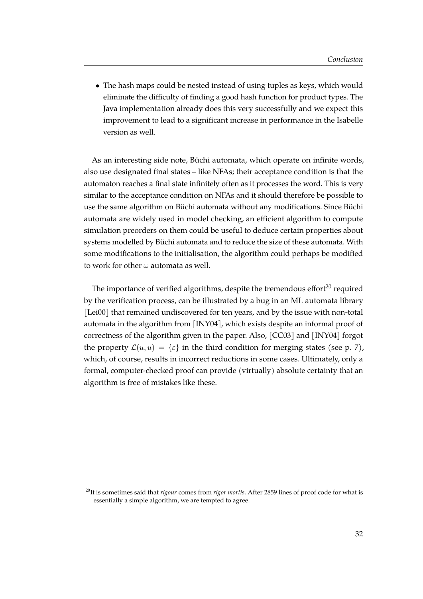• The hash maps could be nested instead of using tuples as keys, which would eliminate the difficulty of finding a good hash function for product types. The Java implementation already does this very successfully and we expect this improvement to lead to a significant increase in performance in the Isabelle version as well.

As an interesting side note, Büchi automata, which operate on infinite words, also use designated final states – like NFAs; their acceptance condition is that the automaton reaches a final state infinitely often as it processes the word. This is very similar to the acceptance condition on NFAs and it should therefore be possible to use the same algorithm on Büchi automata without any modifications. Since Büchi automata are widely used in model checking, an efficient algorithm to compute simulation preorders on them could be useful to deduce certain properties about systems modelled by Büchi automata and to reduce the size of these automata. With some modifications to the initialisation, the algorithm could perhaps be modified to work for other  $\omega$  automata as well.

The importance of verified algorithms, despite the tremendous effort $20$  required by the verification process, can be illustrated by a bug in an ML automata library [\[Lei00\]](#page-39-9) that remained undiscovered for ten years, and by the issue with non-total automata in the algorithm from [\[INY04\]](#page-39-0), which exists despite an informal proof of correctness of the algorithm given in the paper. Also, [\[CC03\]](#page-39-5) and [\[INY04\]](#page-39-0) forgot the property  $\mathcal{L}(u, u) = \{\varepsilon\}$  in the third condition for merging states (see p. [7\)](#page-13-3), which, of course, results in incorrect reductions in some cases. Ultimately, only a formal, computer-checked proof can provide (virtually) absolute certainty that an algorithm is free of mistakes like these.

<span id="page-38-0"></span><sup>20</sup>It is sometimes said that *rigour* comes from *rigor mortis*. After 2859 lines of proof code for what is essentially a simple algorithm, we are tempted to agree.